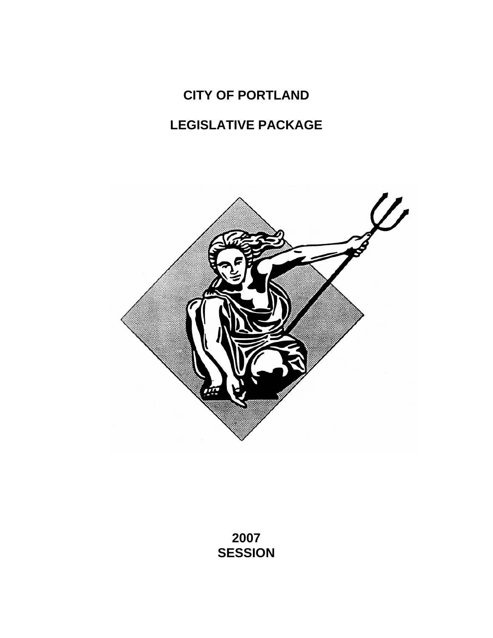# **CITY OF PORTLAND**

# **LEGISLATIVE PACKAGE**



**2007 SESSION**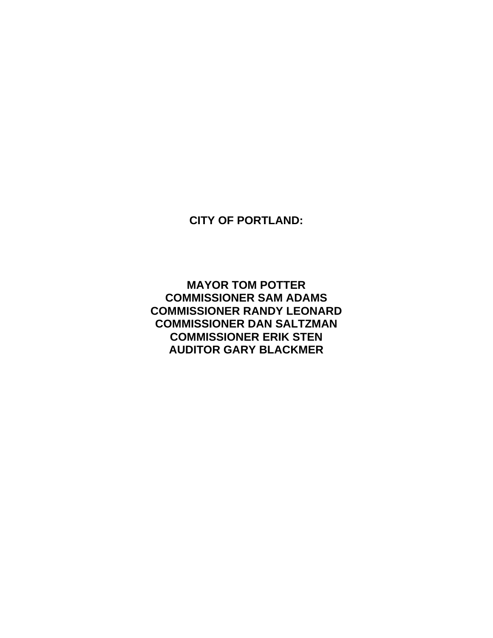**CITY OF PORTLAND:** 

**MAYOR TOM POTTER COMMISSIONER SAM ADAMS COMMISSIONER RANDY LEONARD COMMISSIONER DAN SALTZMAN COMMISSIONER ERIK STEN AUDITOR GARY BLACKMER**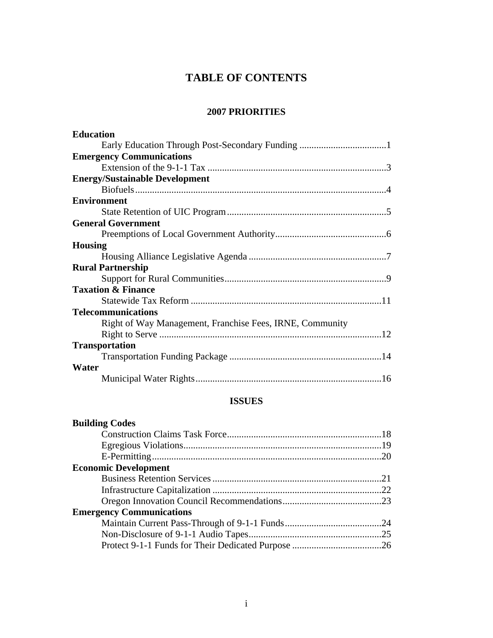# **TABLE OF CONTENTS**

# **2007 PRIORITIES**

| <b>Education</b>                                         |  |
|----------------------------------------------------------|--|
|                                                          |  |
| <b>Emergency Communications</b>                          |  |
|                                                          |  |
| <b>Energy/Sustainable Development</b>                    |  |
|                                                          |  |
| <b>Environment</b>                                       |  |
|                                                          |  |
| <b>General Government</b>                                |  |
|                                                          |  |
| <b>Housing</b>                                           |  |
|                                                          |  |
| <b>Rural Partnership</b>                                 |  |
|                                                          |  |
| <b>Taxation &amp; Finance</b>                            |  |
|                                                          |  |
| <b>Telecommunications</b>                                |  |
| Right of Way Management, Franchise Fees, IRNE, Community |  |
|                                                          |  |
| <b>Transportation</b>                                    |  |
|                                                          |  |
| Water                                                    |  |
|                                                          |  |

# **ISSUES**

| <b>Building Codes</b>           |  |
|---------------------------------|--|
|                                 |  |
|                                 |  |
|                                 |  |
| <b>Economic Development</b>     |  |
|                                 |  |
|                                 |  |
|                                 |  |
| <b>Emergency Communications</b> |  |
|                                 |  |
|                                 |  |
|                                 |  |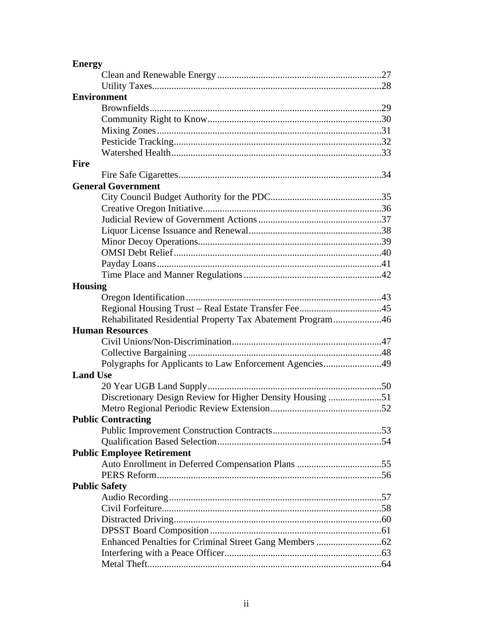| <b>Environment</b>                                         |
|------------------------------------------------------------|
|                                                            |
|                                                            |
|                                                            |
|                                                            |
|                                                            |
| Fire                                                       |
|                                                            |
| <b>General Government</b>                                  |
|                                                            |
|                                                            |
|                                                            |
|                                                            |
|                                                            |
|                                                            |
|                                                            |
|                                                            |
| <b>Housing</b>                                             |
|                                                            |
|                                                            |
| Rehabilitated Residential Property Tax Abatement Program46 |
| <b>Human Resources</b>                                     |
|                                                            |
|                                                            |
| Polygraphs for Applicants to Law Enforcement Agencies49    |
| <b>Land Use</b>                                            |
|                                                            |
| Discretionary Design Review for Higher Density Housing 51  |
|                                                            |
| <b>Public Contracting</b>                                  |
|                                                            |
|                                                            |
| <b>Public Employee Retirement</b>                          |
|                                                            |
|                                                            |
| <b>Public Safety</b>                                       |
|                                                            |
|                                                            |
|                                                            |
|                                                            |
|                                                            |
|                                                            |
|                                                            |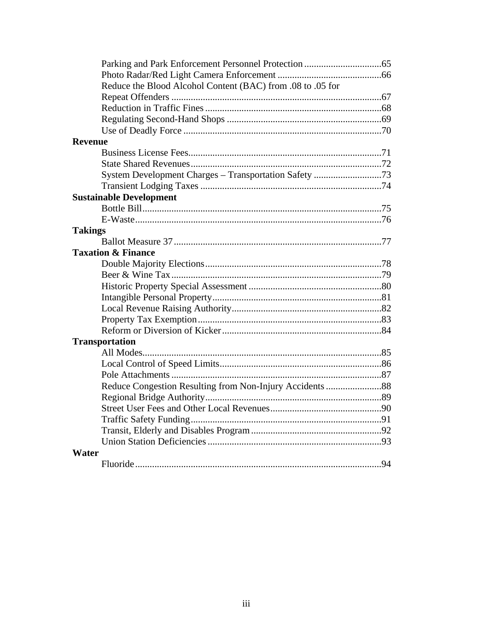| Reduce the Blood Alcohol Content (BAC) from .08 to .05 for<br><b>Revenue</b><br>System Development Charges - Transportation Safety 73<br><b>Sustainable Development</b><br><b>Takings</b><br><b>Taxation &amp; Finance</b><br><b>Transportation</b><br>Water |  |
|--------------------------------------------------------------------------------------------------------------------------------------------------------------------------------------------------------------------------------------------------------------|--|
|                                                                                                                                                                                                                                                              |  |
|                                                                                                                                                                                                                                                              |  |
|                                                                                                                                                                                                                                                              |  |
|                                                                                                                                                                                                                                                              |  |
|                                                                                                                                                                                                                                                              |  |
|                                                                                                                                                                                                                                                              |  |
|                                                                                                                                                                                                                                                              |  |
|                                                                                                                                                                                                                                                              |  |
|                                                                                                                                                                                                                                                              |  |
|                                                                                                                                                                                                                                                              |  |
|                                                                                                                                                                                                                                                              |  |
|                                                                                                                                                                                                                                                              |  |
|                                                                                                                                                                                                                                                              |  |
|                                                                                                                                                                                                                                                              |  |
|                                                                                                                                                                                                                                                              |  |
|                                                                                                                                                                                                                                                              |  |
|                                                                                                                                                                                                                                                              |  |
|                                                                                                                                                                                                                                                              |  |
|                                                                                                                                                                                                                                                              |  |
|                                                                                                                                                                                                                                                              |  |
|                                                                                                                                                                                                                                                              |  |
|                                                                                                                                                                                                                                                              |  |
|                                                                                                                                                                                                                                                              |  |
|                                                                                                                                                                                                                                                              |  |
|                                                                                                                                                                                                                                                              |  |
|                                                                                                                                                                                                                                                              |  |
|                                                                                                                                                                                                                                                              |  |
|                                                                                                                                                                                                                                                              |  |
|                                                                                                                                                                                                                                                              |  |
|                                                                                                                                                                                                                                                              |  |
|                                                                                                                                                                                                                                                              |  |
|                                                                                                                                                                                                                                                              |  |
|                                                                                                                                                                                                                                                              |  |
|                                                                                                                                                                                                                                                              |  |
|                                                                                                                                                                                                                                                              |  |
|                                                                                                                                                                                                                                                              |  |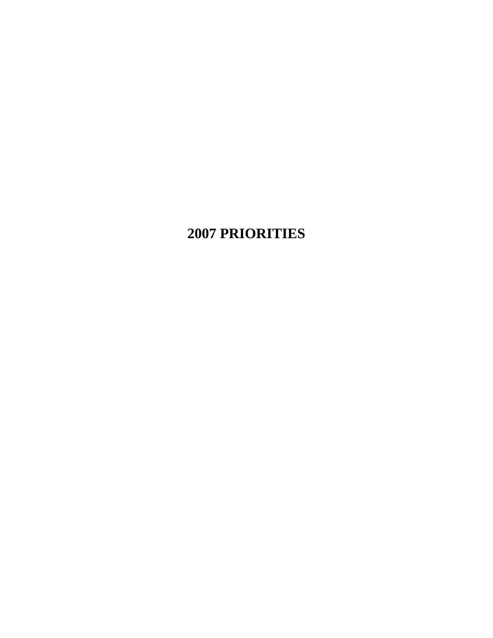# **2007 PRIORITIES**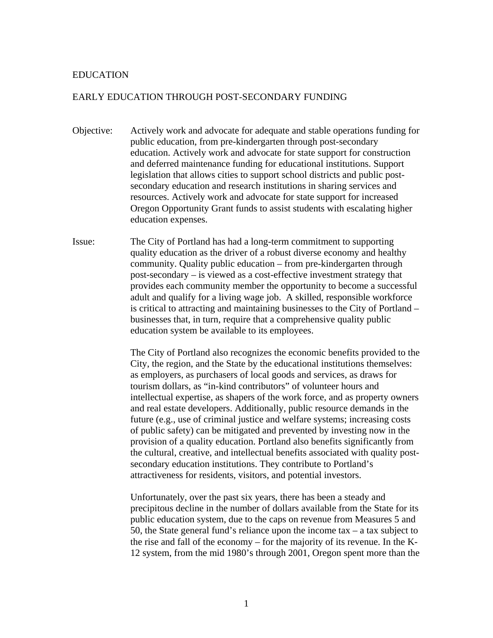#### EDUCATION

## EARLY EDUCATION THROUGH POST-SECONDARY FUNDING

- Objective: Actively work and advocate for adequate and stable operations funding for public education, from pre-kindergarten through post-secondary education. Actively work and advocate for state support for construction and deferred maintenance funding for educational institutions. Support legislation that allows cities to support school districts and public postsecondary education and research institutions in sharing services and resources. Actively work and advocate for state support for increased Oregon Opportunity Grant funds to assist students with escalating higher education expenses.
- Issue: The City of Portland has had a long-term commitment to supporting quality education as the driver of a robust diverse economy and healthy community. Quality public education – from pre-kindergarten through post-secondary – is viewed as a cost-effective investment strategy that provides each community member the opportunity to become a successful adult and qualify for a living wage job. A skilled, responsible workforce is critical to attracting and maintaining businesses to the City of Portland – businesses that, in turn, require that a comprehensive quality public education system be available to its employees.

 The City of Portland also recognizes the economic benefits provided to the City, the region, and the State by the educational institutions themselves: as employers, as purchasers of local goods and services, as draws for tourism dollars, as "in-kind contributors" of volunteer hours and intellectual expertise, as shapers of the work force, and as property owners and real estate developers. Additionally, public resource demands in the future (e.g., use of criminal justice and welfare systems; increasing costs of public safety) can be mitigated and prevented by investing now in the provision of a quality education. Portland also benefits significantly from the cultural, creative, and intellectual benefits associated with quality postsecondary education institutions. They contribute to Portland's attractiveness for residents, visitors, and potential investors.

Unfortunately, over the past six years, there has been a steady and precipitous decline in the number of dollars available from the State for its public education system, due to the caps on revenue from Measures 5 and 50, the State general fund's reliance upon the income tax  $-$  a tax subject to the rise and fall of the economy – for the majority of its revenue. In the K-12 system, from the mid 1980's through 2001, Oregon spent more than the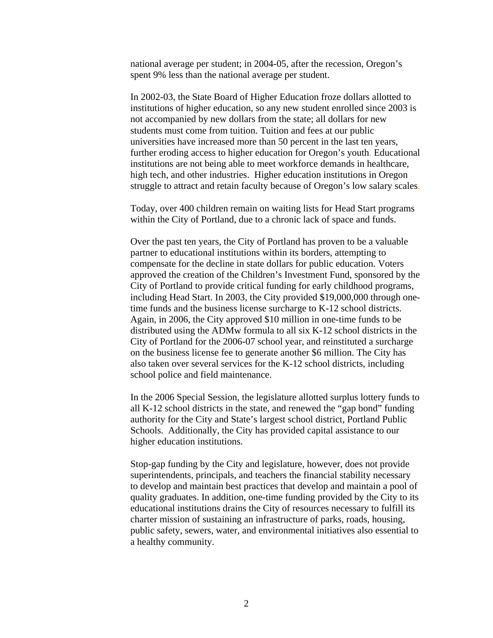national average per student; in 2004-05, after the recession, Oregon's spent 9% less than the national average per student.

In 2002-03, the State Board of Higher Education froze dollars allotted to institutions of higher education, so any new student enrolled since 2003 is not accompanied by new dollars from the state; all dollars for new students must come from tuition. Tuition and fees at our public universities have increased more than 50 percent in the last ten years, further eroding access to higher education for Oregon's youth. Educational institutions are not being able to meet workforce demands in healthcare, high tech, and other industries. Higher education institutions in Oregon struggle to attract and retain faculty because of Oregon's low salary scales.

Today, over 400 children remain on waiting lists for Head Start programs within the City of Portland, due to a chronic lack of space and funds.

Over the past ten years, the City of Portland has proven to be a valuable partner to educational institutions within its borders, attempting to compensate for the decline in state dollars for public education. Voters approved the creation of the Children's Investment Fund, sponsored by the City of Portland to provide critical funding for early childhood programs, including Head Start. In 2003, the City provided \$19,000,000 through onetime funds and the business license surcharge to K-12 school districts. Again, in 2006, the City approved \$10 million in one-time funds to be distributed using the ADMw formula to all six K-12 school districts in the City of Portland for the 2006-07 school year, and reinstituted a surcharge on the business license fee to generate another \$6 million. The City has also taken over several services for the K-12 school districts, including school police and field maintenance.

In the 2006 Special Session, the legislature allotted surplus lottery funds to all K-12 school districts in the state, and renewed the "gap bond" funding authority for the City and State's largest school district, Portland Public Schools. Additionally, the City has provided capital assistance to our higher education institutions.

Stop-gap funding by the City and legislature, however, does not provide superintendents, principals, and teachers the financial stability necessary to develop and maintain best practices that develop and maintain a pool of quality graduates. In addition, one-time funding provided by the City to its educational institutions drains the City of resources necessary to fulfill its charter mission of sustaining an infrastructure of parks, roads, housing, public safety, sewers, water, and environmental initiatives also essential to a healthy community.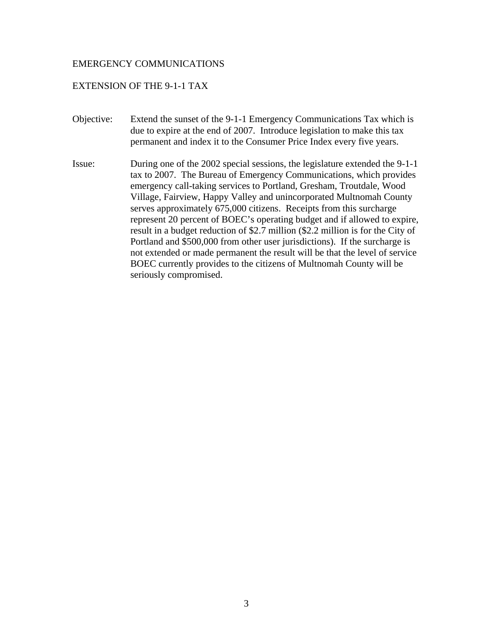#### EXTENSION OF THE 9-1-1 TAX

- Objective: Extend the sunset of the 9-1-1 Emergency Communications Tax which is due to expire at the end of 2007. Introduce legislation to make this tax permanent and index it to the Consumer Price Index every five years.
- Issue: During one of the 2002 special sessions, the legislature extended the 9-1-1 tax to 2007. The Bureau of Emergency Communications, which provides emergency call-taking services to Portland, Gresham, Troutdale, Wood Village, Fairview, Happy Valley and unincorporated Multnomah County serves approximately 675,000 citizens. Receipts from this surcharge represent 20 percent of BOEC's operating budget and if allowed to expire, result in a budget reduction of \$2.7 million (\$2.2 million is for the City of Portland and \$500,000 from other user jurisdictions). If the surcharge is not extended or made permanent the result will be that the level of service BOEC currently provides to the citizens of Multnomah County will be seriously compromised.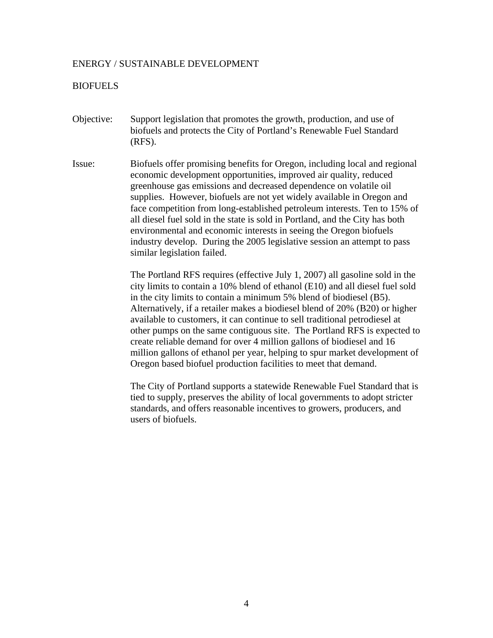#### ENERGY / SUSTAINABLE DEVELOPMENT

#### **BIOFUELS**

- Objective: Support legislation that promotes the growth, production, and use of biofuels and protects the City of Portland's Renewable Fuel Standard (RFS).
- Issue: Biofuels offer promising benefits for Oregon, including local and regional economic development opportunities, improved air quality, reduced greenhouse gas emissions and decreased dependence on volatile oil supplies. However, biofuels are not yet widely available in Oregon and face competition from long-established petroleum interests. Ten to 15% of all diesel fuel sold in the state is sold in Portland, and the City has both environmental and economic interests in seeing the Oregon biofuels industry develop. During the 2005 legislative session an attempt to pass similar legislation failed.

The Portland RFS requires (effective July 1, 2007) all gasoline sold in the city limits to contain a 10% blend of ethanol (E10) and all diesel fuel sold in the city limits to contain a minimum 5% blend of biodiesel (B5). Alternatively, if a retailer makes a biodiesel blend of 20% (B20) or higher available to customers, it can continue to sell traditional petrodiesel at other pumps on the same contiguous site. The Portland RFS is expected to create reliable demand for over 4 million gallons of biodiesel and 16 million gallons of ethanol per year, helping to spur market development of Oregon based biofuel production facilities to meet that demand.

The City of Portland supports a statewide Renewable Fuel Standard that is tied to supply, preserves the ability of local governments to adopt stricter standards, and offers reasonable incentives to growers, producers, and users of biofuels.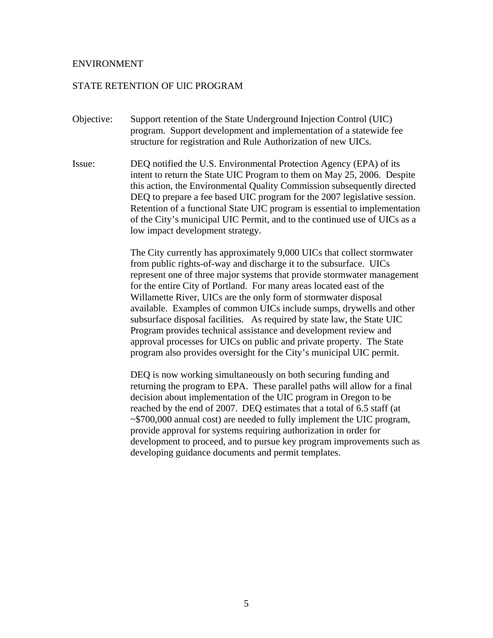#### ENVIRONMENT

#### STATE RETENTION OF UIC PROGRAM

- Objective: Support retention of the State Underground Injection Control (UIC) program. Support development and implementation of a statewide fee structure for registration and Rule Authorization of new UICs.
- Issue: DEQ notified the U.S. Environmental Protection Agency (EPA) of its intent to return the State UIC Program to them on May 25, 2006. Despite this action, the Environmental Quality Commission subsequently directed DEQ to prepare a fee based UIC program for the 2007 legislative session. Retention of a functional State UIC program is essential to implementation of the City's municipal UIC Permit, and to the continued use of UICs as a low impact development strategy.

The City currently has approximately 9,000 UICs that collect stormwater from public rights-of-way and discharge it to the subsurface. UICs represent one of three major systems that provide stormwater management for the entire City of Portland. For many areas located east of the Willamette River, UICs are the only form of stormwater disposal available. Examples of common UICs include sumps, drywells and other subsurface disposal facilities. As required by state law, the State UIC Program provides technical assistance and development review and approval processes for UICs on public and private property. The State program also provides oversight for the City's municipal UIC permit.

DEQ is now working simultaneously on both securing funding and returning the program to EPA. These parallel paths will allow for a final decision about implementation of the UIC program in Oregon to be reached by the end of 2007. DEQ estimates that a total of 6.5 staff (at ~\$700,000 annual cost) are needed to fully implement the UIC program, provide approval for systems requiring authorization in order for development to proceed, and to pursue key program improvements such as developing guidance documents and permit templates.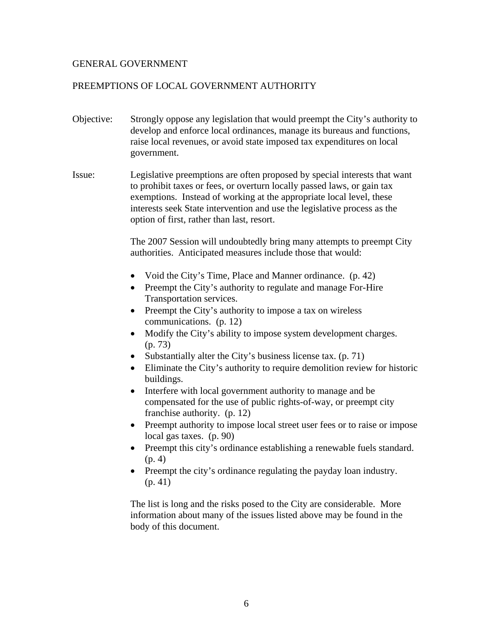# GENERAL GOVERNMENT

# PREEMPTIONS OF LOCAL GOVERNMENT AUTHORITY

- Objective: Strongly oppose any legislation that would preempt the City's authority to develop and enforce local ordinances, manage its bureaus and functions, raise local revenues, or avoid state imposed tax expenditures on local government.
- Issue: Legislative preemptions are often proposed by special interests that want to prohibit taxes or fees, or overturn locally passed laws, or gain tax exemptions. Instead of working at the appropriate local level, these interests seek State intervention and use the legislative process as the option of first, rather than last, resort.

The 2007 Session will undoubtedly bring many attempts to preempt City authorities. Anticipated measures include those that would:

- Void the City's Time, Place and Manner ordinance. (p. 42)
- Preempt the City's authority to regulate and manage For-Hire Transportation services.
- Preempt the City's authority to impose a tax on wireless communications. (p. 12)
- Modify the City's ability to impose system development charges. (p. 73)
- Substantially alter the City's business license tax. (p. 71)
- Eliminate the City's authority to require demolition review for historic buildings.
- Interfere with local government authority to manage and be compensated for the use of public rights-of-way, or preempt city franchise authority. (p. 12)
- Preempt authority to impose local street user fees or to raise or impose local gas taxes. (p. 90)
- Preempt this city's ordinance establishing a renewable fuels standard.  $(p. 4)$
- Preempt the city's ordinance regulating the payday loan industry. (p. 41)

The list is long and the risks posed to the City are considerable. More information about many of the issues listed above may be found in the body of this document.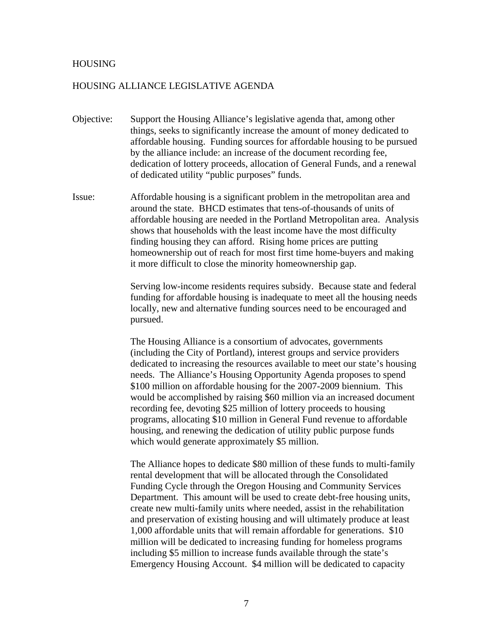#### HOUSING

#### HOUSING ALLIANCE LEGISLATIVE AGENDA

- Objective: Support the Housing Alliance's legislative agenda that, among other things, seeks to significantly increase the amount of money dedicated to affordable housing. Funding sources for affordable housing to be pursued by the alliance include: an increase of the document recording fee, dedication of lottery proceeds, allocation of General Funds, and a renewal of dedicated utility "public purposes" funds.
- Issue: Affordable housing is a significant problem in the metropolitan area and around the state. BHCD estimates that tens-of-thousands of units of affordable housing are needed in the Portland Metropolitan area. Analysis shows that households with the least income have the most difficulty finding housing they can afford. Rising home prices are putting homeownership out of reach for most first time home-buyers and making it more difficult to close the minority homeownership gap.

Serving low-income residents requires subsidy. Because state and federal funding for affordable housing is inadequate to meet all the housing needs locally, new and alternative funding sources need to be encouraged and pursued.

The Housing Alliance is a consortium of advocates, governments (including the City of Portland), interest groups and service providers dedicated to increasing the resources available to meet our state's housing needs. The Alliance's Housing Opportunity Agenda proposes to spend \$100 million on affordable housing for the 2007-2009 biennium. This would be accomplished by raising \$60 million via an increased document recording fee, devoting \$25 million of lottery proceeds to housing programs, allocating \$10 million in General Fund revenue to affordable housing, and renewing the dedication of utility public purpose funds which would generate approximately \$5 million.

The Alliance hopes to dedicate \$80 million of these funds to multi-family rental development that will be allocated through the Consolidated Funding Cycle through the Oregon Housing and Community Services Department. This amount will be used to create debt-free housing units, create new multi-family units where needed, assist in the rehabilitation and preservation of existing housing and will ultimately produce at least 1,000 affordable units that will remain affordable for generations. \$10 million will be dedicated to increasing funding for homeless programs including \$5 million to increase funds available through the state's Emergency Housing Account. \$4 million will be dedicated to capacity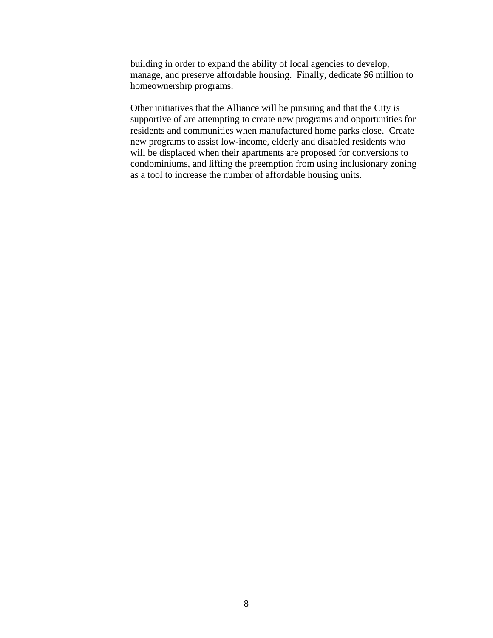building in order to expand the ability of local agencies to develop, manage, and preserve affordable housing. Finally, dedicate \$6 million to homeownership programs.

Other initiatives that the Alliance will be pursuing and that the City is supportive of are attempting to create new programs and opportunities for residents and communities when manufactured home parks close. Create new programs to assist low-income, elderly and disabled residents who will be displaced when their apartments are proposed for conversions to condominiums, and lifting the preemption from using inclusionary zoning as a tool to increase the number of affordable housing units.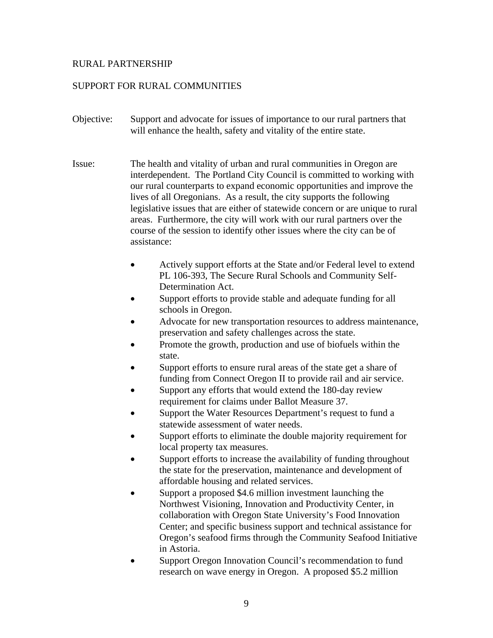# RURAL PARTNERSHIP

# SUPPORT FOR RURAL COMMUNITIES

- Objective: Support and advocate for issues of importance to our rural partners that will enhance the health, safety and vitality of the entire state.
- Issue: The health and vitality of urban and rural communities in Oregon are interdependent. The Portland City Council is committed to working with our rural counterparts to expand economic opportunities and improve the lives of all Oregonians. As a result, the city supports the following legislative issues that are either of statewide concern or are unique to rural areas. Furthermore, the city will work with our rural partners over the course of the session to identify other issues where the city can be of assistance:
	- Actively support efforts at the State and/or Federal level to extend PL 106-393, The Secure Rural Schools and Community Self-Determination Act.
	- Support efforts to provide stable and adequate funding for all schools in Oregon.
	- Advocate for new transportation resources to address maintenance, preservation and safety challenges across the state.
	- Promote the growth, production and use of biofuels within the state.
	- Support efforts to ensure rural areas of the state get a share of funding from Connect Oregon II to provide rail and air service.
	- Support any efforts that would extend the 180-day review requirement for claims under Ballot Measure 37.
	- Support the Water Resources Department's request to fund a statewide assessment of water needs.
	- Support efforts to eliminate the double majority requirement for local property tax measures.
	- Support efforts to increase the availability of funding throughout the state for the preservation, maintenance and development of affordable housing and related services.
	- Support a proposed \$4.6 million investment launching the Northwest Visioning, Innovation and Productivity Center, in collaboration with Oregon State University's Food Innovation Center; and specific business support and technical assistance for Oregon's seafood firms through the Community Seafood Initiative in Astoria.
	- Support Oregon Innovation Council's recommendation to fund research on wave energy in Oregon. A proposed \$5.2 million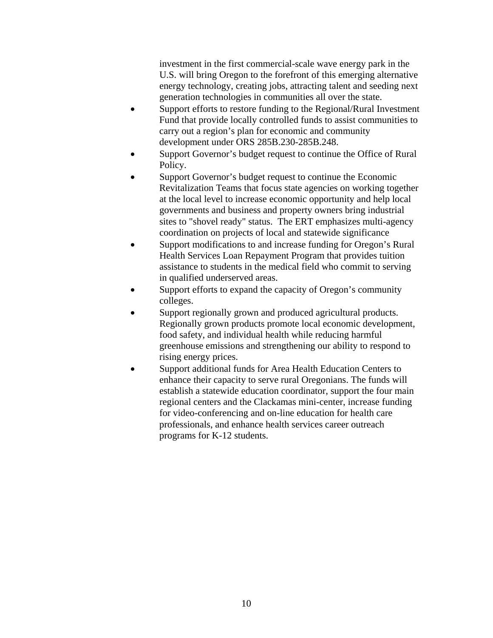investment in the first commercial-scale wave energy park in the U.S. will bring Oregon to the forefront of this emerging alternative energy technology, creating jobs, attracting talent and seeding next generation technologies in communities all over the state.

- Support efforts to restore funding to the Regional/Rural Investment Fund that provide locally controlled funds to assist communities to carry out a region's plan for economic and community development under ORS 285B.230-285B.248.
- Support Governor's budget request to continue the Office of Rural Policy.
- Support Governor's budget request to continue the Economic Revitalization Teams that focus state agencies on working together at the local level to increase economic opportunity and help local governments and business and property owners bring industrial sites to "shovel ready" status. The ERT emphasizes multi-agency coordination on projects of local and statewide significance
- Support modifications to and increase funding for Oregon's Rural Health Services Loan Repayment Program that provides tuition assistance to students in the medical field who commit to serving in qualified underserved areas.
- Support efforts to expand the capacity of Oregon's community colleges.
- Support regionally grown and produced agricultural products. Regionally grown products promote local economic development, food safety, and individual health while reducing harmful greenhouse emissions and strengthening our ability to respond to rising energy prices.
- Support additional funds for Area Health Education Centers to enhance their capacity to serve rural Oregonians. The funds will establish a statewide education coordinator, support the four main regional centers and the Clackamas mini-center, increase funding for video-conferencing and on-line education for health care professionals, and enhance health services career outreach programs for K-12 students.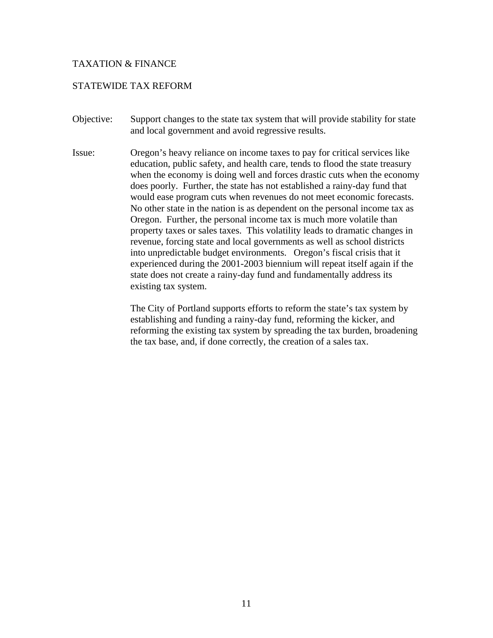# TAXATION & FINANCE

# STATEWIDE TAX REFORM

- Objective: Support changes to the state tax system that will provide stability for state and local government and avoid regressive results.
- Issue: Oregon's heavy reliance on income taxes to pay for critical services like education, public safety, and health care, tends to flood the state treasury when the economy is doing well and forces drastic cuts when the economy does poorly. Further, the state has not established a rainy-day fund that would ease program cuts when revenues do not meet economic forecasts. No other state in the nation is as dependent on the personal income tax as Oregon. Further, the personal income tax is much more volatile than property taxes or sales taxes. This volatility leads to dramatic changes in revenue, forcing state and local governments as well as school districts into unpredictable budget environments. Oregon's fiscal crisis that it experienced during the 2001-2003 biennium will repeat itself again if the state does not create a rainy-day fund and fundamentally address its existing tax system.

The City of Portland supports efforts to reform the state's tax system by establishing and funding a rainy-day fund, reforming the kicker, and reforming the existing tax system by spreading the tax burden, broadening the tax base, and, if done correctly, the creation of a sales tax.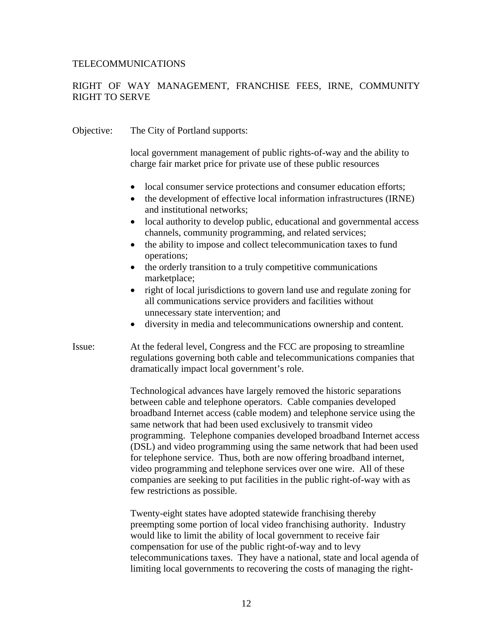## TELECOMMUNICATIONS

# RIGHT OF WAY MANAGEMENT, FRANCHISE FEES, IRNE, COMMUNITY RIGHT TO SERVE

| Objective: | The City of Portland supports:                                                                                                                                                                                                                                                                                                                                                                                                                                                                                                                                                                                                                                                                         |
|------------|--------------------------------------------------------------------------------------------------------------------------------------------------------------------------------------------------------------------------------------------------------------------------------------------------------------------------------------------------------------------------------------------------------------------------------------------------------------------------------------------------------------------------------------------------------------------------------------------------------------------------------------------------------------------------------------------------------|
|            | local government management of public rights-of-way and the ability to<br>charge fair market price for private use of these public resources                                                                                                                                                                                                                                                                                                                                                                                                                                                                                                                                                           |
|            | local consumer service protections and consumer education efforts;<br>the development of effective local information infrastructures (IRNE)<br>$\bullet$<br>and institutional networks;<br>local authority to develop public, educational and governmental access<br>$\bullet$                                                                                                                                                                                                                                                                                                                                                                                                                         |
|            | channels, community programming, and related services;<br>the ability to impose and collect telecommunication taxes to fund                                                                                                                                                                                                                                                                                                                                                                                                                                                                                                                                                                            |
|            | operations;<br>the orderly transition to a truly competitive communications<br>$\bullet$<br>marketplace;                                                                                                                                                                                                                                                                                                                                                                                                                                                                                                                                                                                               |
|            | right of local jurisdictions to govern land use and regulate zoning for<br>$\bullet$<br>all communications service providers and facilities without<br>unnecessary state intervention; and                                                                                                                                                                                                                                                                                                                                                                                                                                                                                                             |
|            | diversity in media and telecommunications ownership and content.<br>$\bullet$                                                                                                                                                                                                                                                                                                                                                                                                                                                                                                                                                                                                                          |
| Issue:     | At the federal level, Congress and the FCC are proposing to streamline<br>regulations governing both cable and telecommunications companies that<br>dramatically impact local government's role.                                                                                                                                                                                                                                                                                                                                                                                                                                                                                                       |
|            | Technological advances have largely removed the historic separations<br>between cable and telephone operators. Cable companies developed<br>broadband Internet access (cable modem) and telephone service using the<br>same network that had been used exclusively to transmit video<br>programming. Telephone companies developed broadband Internet access<br>(DSL) and video programming using the same network that had been used<br>for telephone service. Thus, both are now offering broadband internet,<br>video programming and telephone services over one wire. All of these<br>companies are seeking to put facilities in the public right-of-way with as<br>few restrictions as possible. |
|            | Twenty eight states have adopted statewide franchising thereby                                                                                                                                                                                                                                                                                                                                                                                                                                                                                                                                                                                                                                         |

Twenty-eight states have adopted statewide franchising thereby preempting some portion of local video franchising authority. Industry would like to limit the ability of local government to receive fair compensation for use of the public right-of-way and to levy telecommunications taxes. They have a national, state and local agenda of limiting local governments to recovering the costs of managing the right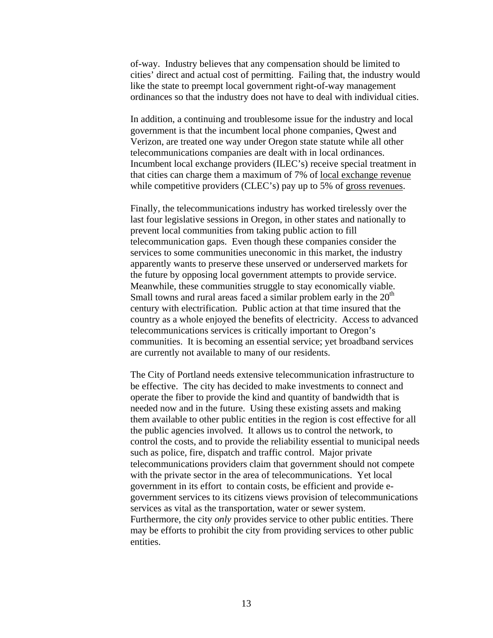of-way. Industry believes that any compensation should be limited to cities' direct and actual cost of permitting. Failing that, the industry would like the state to preempt local government right-of-way management ordinances so that the industry does not have to deal with individual cities.

In addition, a continuing and troublesome issue for the industry and local government is that the incumbent local phone companies, Qwest and Verizon, are treated one way under Oregon state statute while all other telecommunications companies are dealt with in local ordinances. Incumbent local exchange providers (ILEC's) receive special treatment in that cities can charge them a maximum of 7% of local exchange revenue while competitive providers (CLEC's) pay up to 5% of gross revenues.

Finally, the telecommunications industry has worked tirelessly over the last four legislative sessions in Oregon, in other states and nationally to prevent local communities from taking public action to fill telecommunication gaps. Even though these companies consider the services to some communities uneconomic in this market, the industry apparently wants to preserve these unserved or underserved markets for the future by opposing local government attempts to provide service. Meanwhile, these communities struggle to stay economically viable. Small towns and rural areas faced a similar problem early in the  $20<sup>th</sup>$ century with electrification. Public action at that time insured that the country as a whole enjoyed the benefits of electricity. Access to advanced telecommunications services is critically important to Oregon's communities. It is becoming an essential service; yet broadband services are currently not available to many of our residents.

The City of Portland needs extensive telecommunication infrastructure to be effective. The city has decided to make investments to connect and operate the fiber to provide the kind and quantity of bandwidth that is needed now and in the future. Using these existing assets and making them available to other public entities in the region is cost effective for all the public agencies involved. It allows us to control the network, to control the costs, and to provide the reliability essential to municipal needs such as police, fire, dispatch and traffic control. Major private telecommunications providers claim that government should not compete with the private sector in the area of telecommunications. Yet local government in its effort to contain costs, be efficient and provide egovernment services to its citizens views provision of telecommunications services as vital as the transportation, water or sewer system. Furthermore, the city *only* provides service to other public entities. There may be efforts to prohibit the city from providing services to other public entities.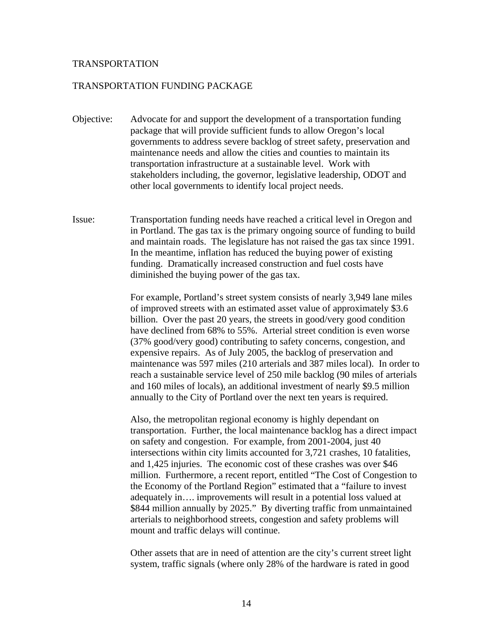#### TRANSPORTATION

#### TRANSPORTATION FUNDING PACKAGE

- Objective: Advocate for and support the development of a transportation funding package that will provide sufficient funds to allow Oregon's local governments to address severe backlog of street safety, preservation and maintenance needs and allow the cities and counties to maintain its transportation infrastructure at a sustainable level. Work with stakeholders including, the governor, legislative leadership, ODOT and other local governments to identify local project needs.
- Issue: Transportation funding needs have reached a critical level in Oregon and in Portland. The gas tax is the primary ongoing source of funding to build and maintain roads. The legislature has not raised the gas tax since 1991. In the meantime, inflation has reduced the buying power of existing funding. Dramatically increased construction and fuel costs have diminished the buying power of the gas tax.

 For example, Portland's street system consists of nearly 3,949 lane miles of improved streets with an estimated asset value of approximately \$3.6 billion. Over the past 20 years, the streets in good/very good condition have declined from 68% to 55%. Arterial street condition is even worse (37% good/very good) contributing to safety concerns, congestion, and expensive repairs. As of July 2005, the backlog of preservation and maintenance was 597 miles (210 arterials and 387 miles local). In order to reach a sustainable service level of 250 mile backlog (90 miles of arterials and 160 miles of locals), an additional investment of nearly \$9.5 million annually to the City of Portland over the next ten years is required.

 Also, the metropolitan regional economy is highly dependant on transportation. Further, the local maintenance backlog has a direct impact on safety and congestion. For example, from 2001-2004, just 40 intersections within city limits accounted for 3,721 crashes, 10 fatalities, and 1,425 injuries. The economic cost of these crashes was over \$46 million. Furthermore, a recent report, entitled "The Cost of Congestion to the Economy of the Portland Region" estimated that a "failure to invest adequately in…. improvements will result in a potential loss valued at \$844 million annually by 2025." By diverting traffic from unmaintained arterials to neighborhood streets, congestion and safety problems will mount and traffic delays will continue.

 Other assets that are in need of attention are the city's current street light system, traffic signals (where only 28% of the hardware is rated in good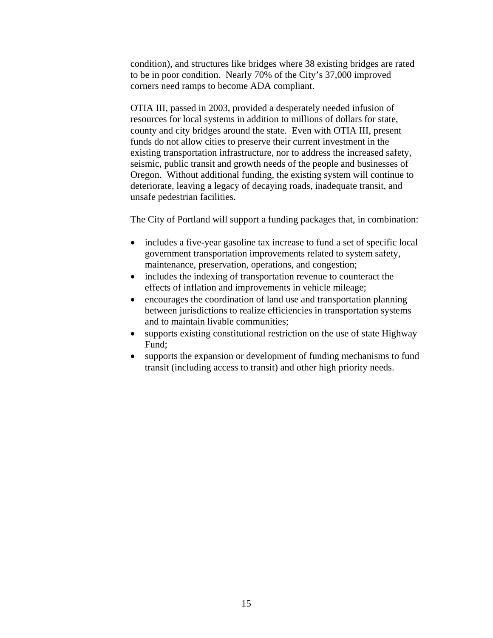condition), and structures like bridges where 38 existing bridges are rated to be in poor condition. Nearly 70% of the City's 37,000 improved corners need ramps to become ADA compliant.

 OTIA III, passed in 2003, provided a desperately needed infusion of resources for local systems in addition to millions of dollars for state, county and city bridges around the state. Even with OTIA III, present funds do not allow cities to preserve their current investment in the existing transportation infrastructure, nor to address the increased safety, seismic, public transit and growth needs of the people and businesses of Oregon. Without additional funding, the existing system will continue to deteriorate, leaving a legacy of decaying roads, inadequate transit, and unsafe pedestrian facilities.

The City of Portland will support a funding packages that, in combination:

- includes a five-year gasoline tax increase to fund a set of specific local government transportation improvements related to system safety, maintenance, preservation, operations, and congestion;
- includes the indexing of transportation revenue to counteract the effects of inflation and improvements in vehicle mileage;
- encourages the coordination of land use and transportation planning between jurisdictions to realize efficiencies in transportation systems and to maintain livable communities;
- supports existing constitutional restriction on the use of state Highway Fund;
- supports the expansion or development of funding mechanisms to fund transit (including access to transit) and other high priority needs.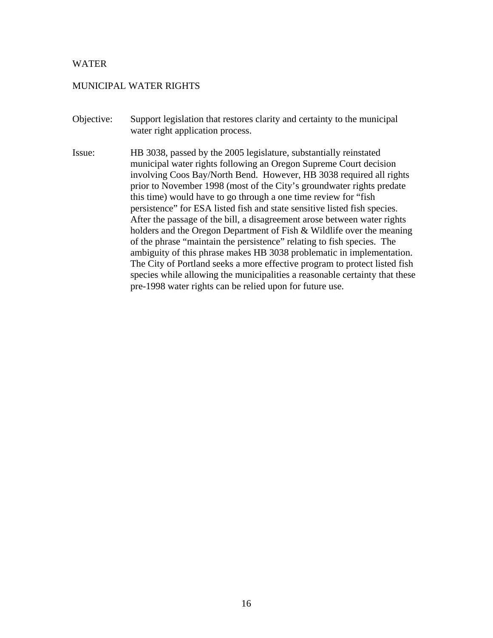#### WATER

# MUNICIPAL WATER RIGHTS

- Objective: Support legislation that restores clarity and certainty to the municipal water right application process.
- Issue: HB 3038, passed by the 2005 legislature, substantially reinstated municipal water rights following an Oregon Supreme Court decision involving Coos Bay/North Bend. However, HB 3038 required all rights prior to November 1998 (most of the City's groundwater rights predate this time) would have to go through a one time review for "fish persistence" for ESA listed fish and state sensitive listed fish species. After the passage of the bill, a disagreement arose between water rights holders and the Oregon Department of Fish & Wildlife over the meaning of the phrase "maintain the persistence" relating to fish species. The ambiguity of this phrase makes HB 3038 problematic in implementation. The City of Portland seeks a more effective program to protect listed fish species while allowing the municipalities a reasonable certainty that these pre-1998 water rights can be relied upon for future use.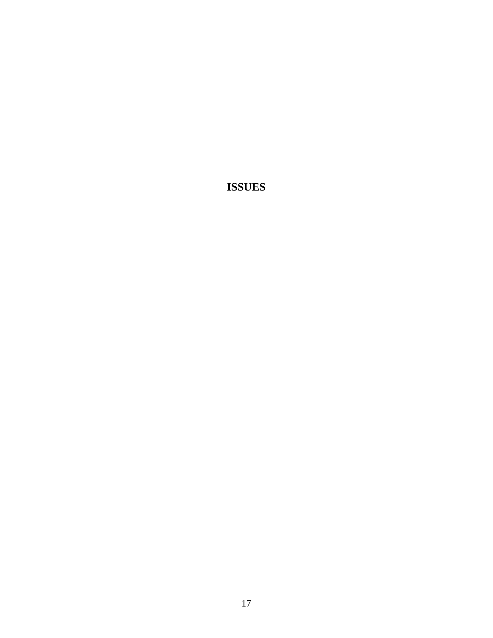**ISSUES**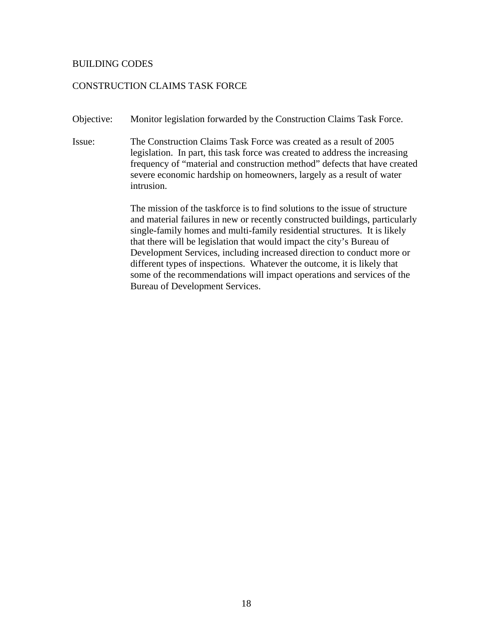#### BUILDING CODES

# CONSTRUCTION CLAIMS TASK FORCE

- Objective: Monitor legislation forwarded by the Construction Claims Task Force.
- Issue: The Construction Claims Task Force was created as a result of 2005 legislation. In part, this task force was created to address the increasing frequency of "material and construction method" defects that have created severe economic hardship on homeowners, largely as a result of water intrusion.

The mission of the taskforce is to find solutions to the issue of structure and material failures in new or recently constructed buildings, particularly single-family homes and multi-family residential structures. It is likely that there will be legislation that would impact the city's Bureau of Development Services, including increased direction to conduct more or different types of inspections. Whatever the outcome, it is likely that some of the recommendations will impact operations and services of the Bureau of Development Services.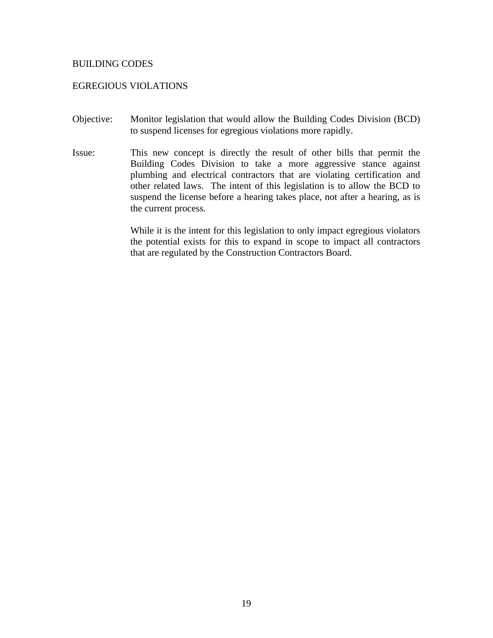#### BUILDING CODES

#### EGREGIOUS VIOLATIONS

- Objective: Monitor legislation that would allow the Building Codes Division (BCD) to suspend licenses for egregious violations more rapidly.
- Issue: This new concept is directly the result of other bills that permit the Building Codes Division to take a more aggressive stance against plumbing and electrical contractors that are violating certification and other related laws. The intent of this legislation is to allow the BCD to suspend the license before a hearing takes place, not after a hearing, as is the current process.

While it is the intent for this legislation to only impact egregious violators the potential exists for this to expand in scope to impact all contractors that are regulated by the Construction Contractors Board.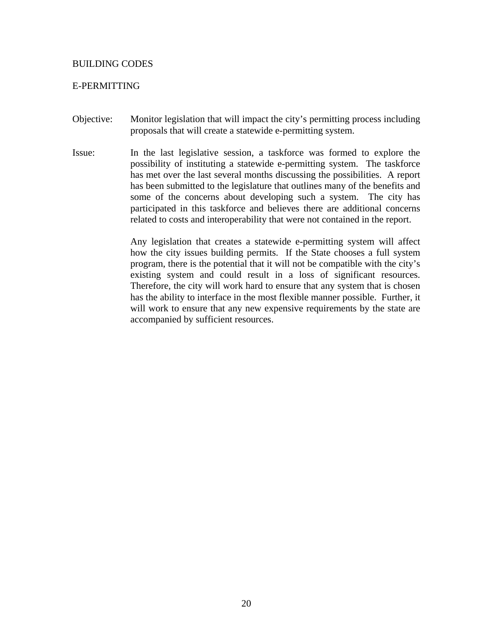#### BUILDING CODES

# E-PERMITTING

- Objective: Monitor legislation that will impact the city's permitting process including proposals that will create a statewide e-permitting system.
- Issue: In the last legislative session, a taskforce was formed to explore the possibility of instituting a statewide e-permitting system. The taskforce has met over the last several months discussing the possibilities. A report has been submitted to the legislature that outlines many of the benefits and some of the concerns about developing such a system. The city has participated in this taskforce and believes there are additional concerns related to costs and interoperability that were not contained in the report.

Any legislation that creates a statewide e-permitting system will affect how the city issues building permits. If the State chooses a full system program, there is the potential that it will not be compatible with the city's existing system and could result in a loss of significant resources. Therefore, the city will work hard to ensure that any system that is chosen has the ability to interface in the most flexible manner possible. Further, it will work to ensure that any new expensive requirements by the state are accompanied by sufficient resources.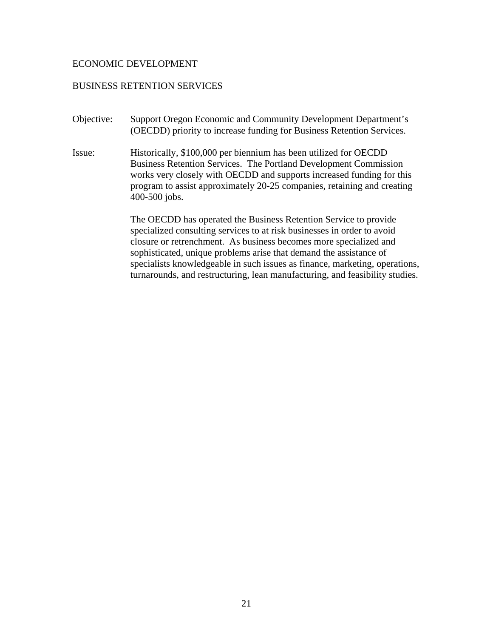#### ECONOMIC DEVELOPMENT

# BUSINESS RETENTION SERVICES

- Objective: Support Oregon Economic and Community Development Department's (OECDD) priority to increase funding for Business Retention Services.
- Issue: Historically, \$100,000 per biennium has been utilized for OECDD Business Retention Services. The Portland Development Commission works very closely with OECDD and supports increased funding for this program to assist approximately 20-25 companies, retaining and creating 400-500 jobs.

The OECDD has operated the Business Retention Service to provide specialized consulting services to at risk businesses in order to avoid closure or retrenchment. As business becomes more specialized and sophisticated, unique problems arise that demand the assistance of specialists knowledgeable in such issues as finance, marketing, operations, turnarounds, and restructuring, lean manufacturing, and feasibility studies.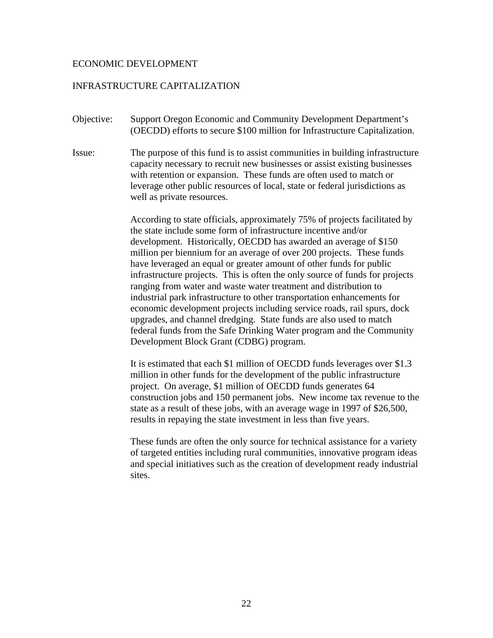#### ECONOMIC DEVELOPMENT

#### INFRASTRUCTURE CAPITALIZATION

- Objective: Support Oregon Economic and Community Development Department's (OECDD) efforts to secure \$100 million for Infrastructure Capitalization.
- Issue: The purpose of this fund is to assist communities in building infrastructure capacity necessary to recruit new businesses or assist existing businesses with retention or expansion. These funds are often used to match or leverage other public resources of local, state or federal jurisdictions as well as private resources.

According to state officials, approximately 75% of projects facilitated by the state include some form of infrastructure incentive and/or development. Historically, OECDD has awarded an average of \$150 million per biennium for an average of over 200 projects. These funds have leveraged an equal or greater amount of other funds for public infrastructure projects. This is often the only source of funds for projects ranging from water and waste water treatment and distribution to industrial park infrastructure to other transportation enhancements for economic development projects including service roads, rail spurs, dock upgrades, and channel dredging. State funds are also used to match federal funds from the Safe Drinking Water program and the Community Development Block Grant (CDBG) program.

It is estimated that each \$1 million of OECDD funds leverages over \$1.3 million in other funds for the development of the public infrastructure project. On average, \$1 million of OECDD funds generates 64 construction jobs and 150 permanent jobs. New income tax revenue to the state as a result of these jobs, with an average wage in 1997 of \$26,500, results in repaying the state investment in less than five years.

These funds are often the only source for technical assistance for a variety of targeted entities including rural communities, innovative program ideas and special initiatives such as the creation of development ready industrial sites.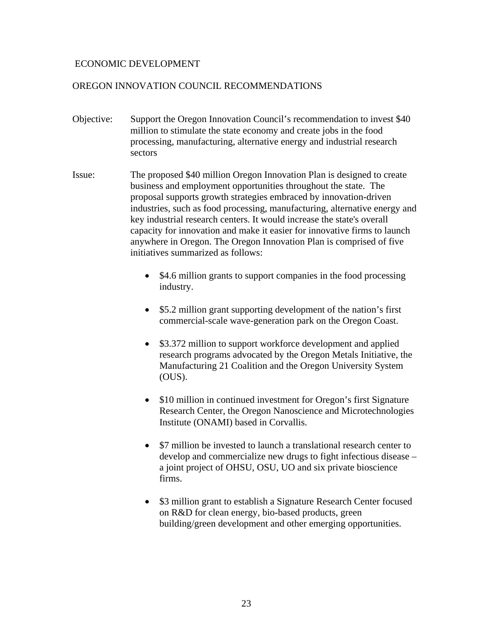# ECONOMIC DEVELOPMENT

# OREGON INNOVATION COUNCIL RECOMMENDATIONS

- Objective: Support the Oregon Innovation Council's recommendation to invest \$40 million to stimulate the state economy and create jobs in the food processing, manufacturing, alternative energy and industrial research sectors
- Issue: The proposed \$40 million Oregon Innovation Plan is designed to create business and employment opportunities throughout the state. The proposal supports growth strategies embraced by innovation-driven industries, such as food processing, manufacturing, alternative energy and key industrial research centers. It would increase the state's overall capacity for innovation and make it easier for innovative firms to launch anywhere in Oregon. The Oregon Innovation Plan is comprised of five initiatives summarized as follows:
	- \$4.6 million grants to support companies in the food processing industry.
	- \$5.2 million grant supporting development of the nation's first commercial-scale wave-generation park on the Oregon Coast.
	- \$3.372 million to support workforce development and applied research programs advocated by the Oregon Metals Initiative, the Manufacturing 21 Coalition and the Oregon University System (OUS).
	- \$10 million in continued investment for Oregon's first Signature Research Center, the Oregon Nanoscience and Microtechnologies Institute (ONAMI) based in Corvallis.
	- \$7 million be invested to launch a translational research center to develop and commercialize new drugs to fight infectious disease – a joint project of OHSU, OSU, UO and six private bioscience firms.
	- \$3 million grant to establish a Signature Research Center focused on R&D for clean energy, bio-based products, green building/green development and other emerging opportunities.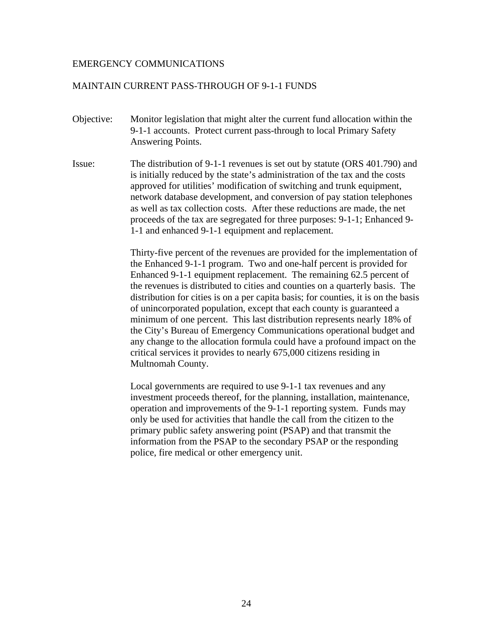# MAINTAIN CURRENT PASS-THROUGH OF 9-1-1 FUNDS

- Objective: Monitor legislation that might alter the current fund allocation within the 9-1-1 accounts. Protect current pass-through to local Primary Safety Answering Points.
- Issue: The distribution of 9-1-1 revenues is set out by statute (ORS 401.790) and is initially reduced by the state's administration of the tax and the costs approved for utilities' modification of switching and trunk equipment, network database development, and conversion of pay station telephones as well as tax collection costs. After these reductions are made, the net proceeds of the tax are segregated for three purposes: 9-1-1; Enhanced 9- 1-1 and enhanced 9-1-1 equipment and replacement.

Thirty-five percent of the revenues are provided for the implementation of the Enhanced 9-1-1 program. Two and one-half percent is provided for Enhanced 9-1-1 equipment replacement. The remaining 62.5 percent of the revenues is distributed to cities and counties on a quarterly basis. The distribution for cities is on a per capita basis; for counties, it is on the basis of unincorporated population, except that each county is guaranteed a minimum of one percent. This last distribution represents nearly 18% of the City's Bureau of Emergency Communications operational budget and any change to the allocation formula could have a profound impact on the critical services it provides to nearly 675,000 citizens residing in Multnomah County.

Local governments are required to use 9-1-1 tax revenues and any investment proceeds thereof, for the planning, installation, maintenance, operation and improvements of the 9-1-1 reporting system. Funds may only be used for activities that handle the call from the citizen to the primary public safety answering point (PSAP) and that transmit the information from the PSAP to the secondary PSAP or the responding police, fire medical or other emergency unit.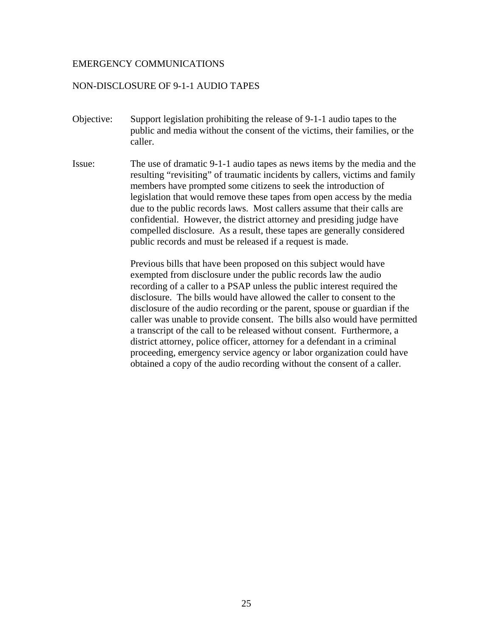### NON-DISCLOSURE OF 9-1-1 AUDIO TAPES

- Objective: Support legislation prohibiting the release of 9-1-1 audio tapes to the public and media without the consent of the victims, their families, or the caller.
- Issue: The use of dramatic 9-1-1 audio tapes as news items by the media and the resulting "revisiting" of traumatic incidents by callers, victims and family members have prompted some citizens to seek the introduction of legislation that would remove these tapes from open access by the media due to the public records laws. Most callers assume that their calls are confidential. However, the district attorney and presiding judge have compelled disclosure. As a result, these tapes are generally considered public records and must be released if a request is made.

Previous bills that have been proposed on this subject would have exempted from disclosure under the public records law the audio recording of a caller to a PSAP unless the public interest required the disclosure. The bills would have allowed the caller to consent to the disclosure of the audio recording or the parent, spouse or guardian if the caller was unable to provide consent. The bills also would have permitted a transcript of the call to be released without consent. Furthermore, a district attorney, police officer, attorney for a defendant in a criminal proceeding, emergency service agency or labor organization could have obtained a copy of the audio recording without the consent of a caller.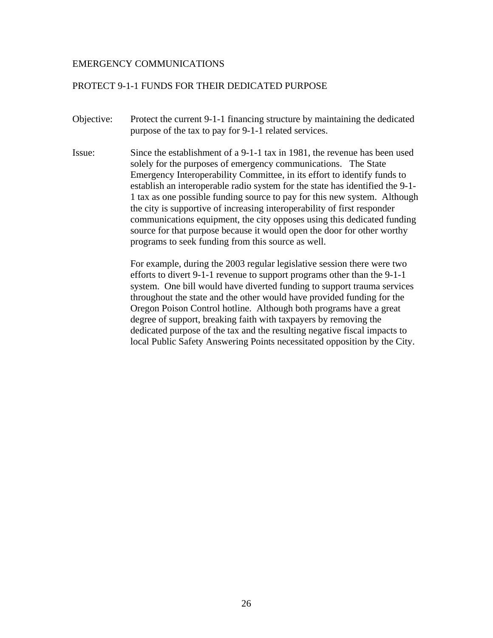# PROTECT 9-1-1 FUNDS FOR THEIR DEDICATED PURPOSE

- Objective: Protect the current 9-1-1 financing structure by maintaining the dedicated purpose of the tax to pay for 9-1-1 related services.
- Issue: Since the establishment of a 9-1-1 tax in 1981, the revenue has been used solely for the purposes of emergency communications. The State Emergency Interoperability Committee, in its effort to identify funds to establish an interoperable radio system for the state has identified the 9-1- 1 tax as one possible funding source to pay for this new system. Although the city is supportive of increasing interoperability of first responder communications equipment, the city opposes using this dedicated funding source for that purpose because it would open the door for other worthy programs to seek funding from this source as well.

For example, during the 2003 regular legislative session there were two efforts to divert 9-1-1 revenue to support programs other than the 9-1-1 system. One bill would have diverted funding to support trauma services throughout the state and the other would have provided funding for the Oregon Poison Control hotline. Although both programs have a great degree of support, breaking faith with taxpayers by removing the dedicated purpose of the tax and the resulting negative fiscal impacts to local Public Safety Answering Points necessitated opposition by the City.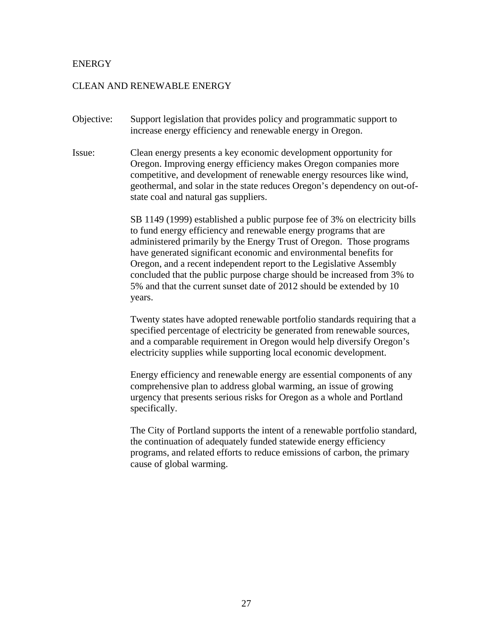# **ENERGY**

#### CLEAN AND RENEWABLE ENERGY

- Objective: Support legislation that provides policy and programmatic support to increase energy efficiency and renewable energy in Oregon.
- Issue: Clean energy presents a key economic development opportunity for Oregon. Improving energy efficiency makes Oregon companies more competitive, and development of renewable energy resources like wind, geothermal, and solar in the state reduces Oregon's dependency on out-ofstate coal and natural gas suppliers.

SB 1149 (1999) established a public purpose fee of 3% on electricity bills to fund energy efficiency and renewable energy programs that are administered primarily by the Energy Trust of Oregon. Those programs have generated significant economic and environmental benefits for Oregon, and a recent independent report to the Legislative Assembly concluded that the public purpose charge should be increased from 3% to 5% and that the current sunset date of 2012 should be extended by 10 years.

Twenty states have adopted renewable portfolio standards requiring that a specified percentage of electricity be generated from renewable sources, and a comparable requirement in Oregon would help diversify Oregon's electricity supplies while supporting local economic development.

Energy efficiency and renewable energy are essential components of any comprehensive plan to address global warming, an issue of growing urgency that presents serious risks for Oregon as a whole and Portland specifically.

The City of Portland supports the intent of a renewable portfolio standard, the continuation of adequately funded statewide energy efficiency programs, and related efforts to reduce emissions of carbon, the primary cause of global warming.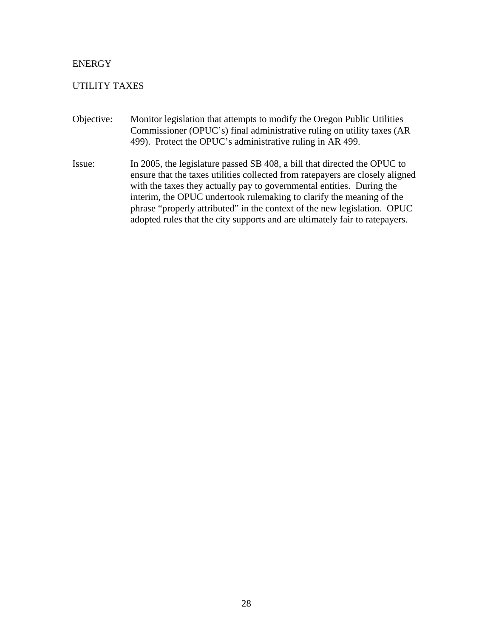# ENERGY

# UTILITY TAXES

- Objective: Monitor legislation that attempts to modify the Oregon Public Utilities Commissioner (OPUC's) final administrative ruling on utility taxes (AR 499). Protect the OPUC's administrative ruling in AR 499.
- Issue: In 2005, the legislature passed SB 408, a bill that directed the OPUC to ensure that the taxes utilities collected from ratepayers are closely aligned with the taxes they actually pay to governmental entities. During the interim, the OPUC undertook rulemaking to clarify the meaning of the phrase "properly attributed" in the context of the new legislation. OPUC adopted rules that the city supports and are ultimately fair to ratepayers.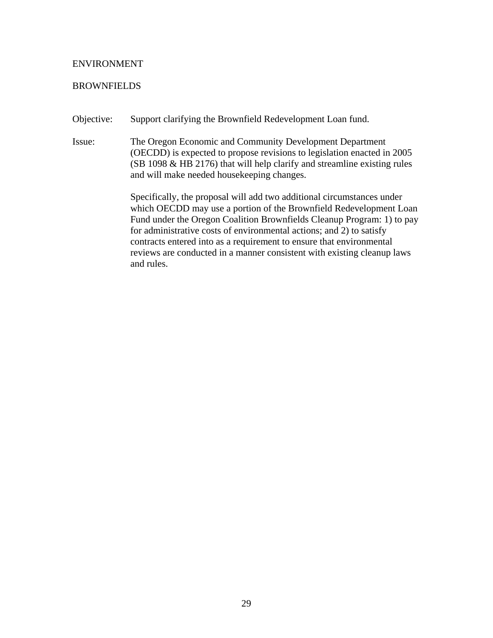#### ENVIRONMENT

#### **BROWNFIELDS**

Objective: Support clarifying the Brownfield Redevelopment Loan fund.

Issue: The Oregon Economic and Community Development Department (OECDD) is expected to propose revisions to legislation enacted in 2005 (SB 1098 & HB 2176) that will help clarify and streamline existing rules and will make needed housekeeping changes.

> Specifically, the proposal will add two additional circumstances under which OECDD may use a portion of the Brownfield Redevelopment Loan Fund under the Oregon Coalition Brownfields Cleanup Program: 1) to pay for administrative costs of environmental actions; and 2) to satisfy contracts entered into as a requirement to ensure that environmental reviews are conducted in a manner consistent with existing cleanup laws and rules.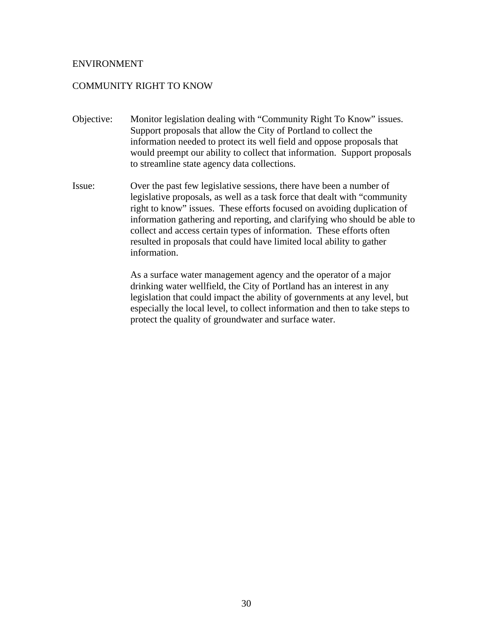#### ENVIRONMENT

# COMMUNITY RIGHT TO KNOW

- Objective: Monitor legislation dealing with "Community Right To Know" issues. Support proposals that allow the City of Portland to collect the information needed to protect its well field and oppose proposals that would preempt our ability to collect that information. Support proposals to streamline state agency data collections.
- Issue: Over the past few legislative sessions, there have been a number of legislative proposals, as well as a task force that dealt with "community right to know" issues. These efforts focused on avoiding duplication of information gathering and reporting, and clarifying who should be able to collect and access certain types of information. These efforts often resulted in proposals that could have limited local ability to gather information.

As a surface water management agency and the operator of a major drinking water wellfield, the City of Portland has an interest in any legislation that could impact the ability of governments at any level, but especially the local level, to collect information and then to take steps to protect the quality of groundwater and surface water.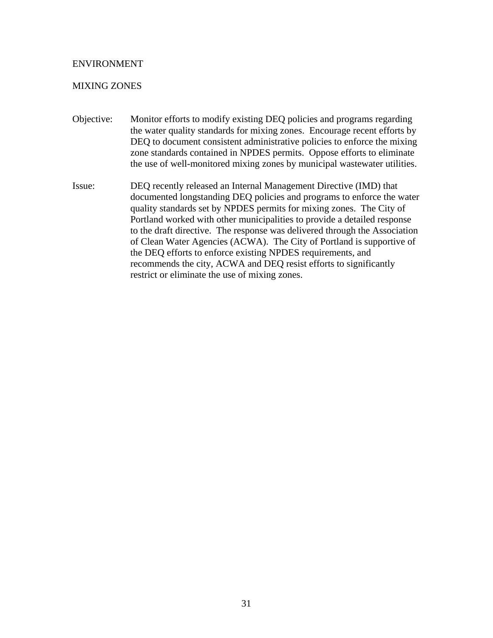## ENVIRONMENT

## MIXING ZONES

- Objective: Monitor efforts to modify existing DEQ policies and programs regarding the water quality standards for mixing zones. Encourage recent efforts by DEQ to document consistent administrative policies to enforce the mixing zone standards contained in NPDES permits. Oppose efforts to eliminate the use of well-monitored mixing zones by municipal wastewater utilities.
- Issue: DEQ recently released an Internal Management Directive (IMD) that documented longstanding DEQ policies and programs to enforce the water quality standards set by NPDES permits for mixing zones. The City of Portland worked with other municipalities to provide a detailed response to the draft directive. The response was delivered through the Association of Clean Water Agencies (ACWA). The City of Portland is supportive of the DEQ efforts to enforce existing NPDES requirements, and recommends the city, ACWA and DEQ resist efforts to significantly restrict or eliminate the use of mixing zones.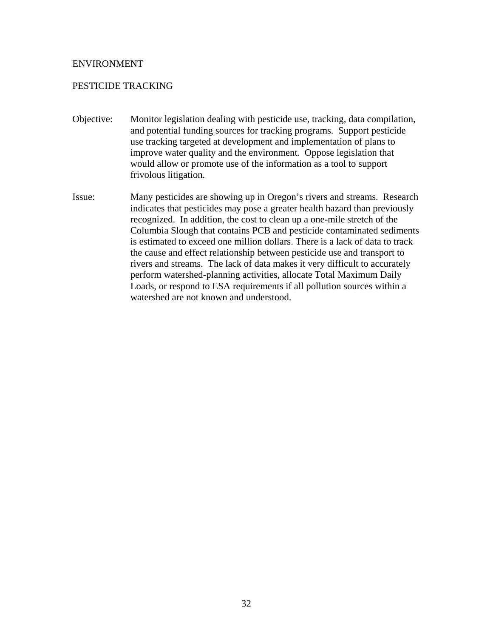### ENVIRONMENT

# PESTICIDE TRACKING

- Objective: Monitor legislation dealing with pesticide use, tracking, data compilation, and potential funding sources for tracking programs. Support pesticide use tracking targeted at development and implementation of plans to improve water quality and the environment. Oppose legislation that would allow or promote use of the information as a tool to support frivolous litigation.
- Issue: Many pesticides are showing up in Oregon's rivers and streams. Research indicates that pesticides may pose a greater health hazard than previously recognized. In addition, the cost to clean up a one-mile stretch of the Columbia Slough that contains PCB and pesticide contaminated sediments is estimated to exceed one million dollars. There is a lack of data to track the cause and effect relationship between pesticide use and transport to rivers and streams. The lack of data makes it very difficult to accurately perform watershed-planning activities, allocate Total Maximum Daily Loads, or respond to ESA requirements if all pollution sources within a watershed are not known and understood.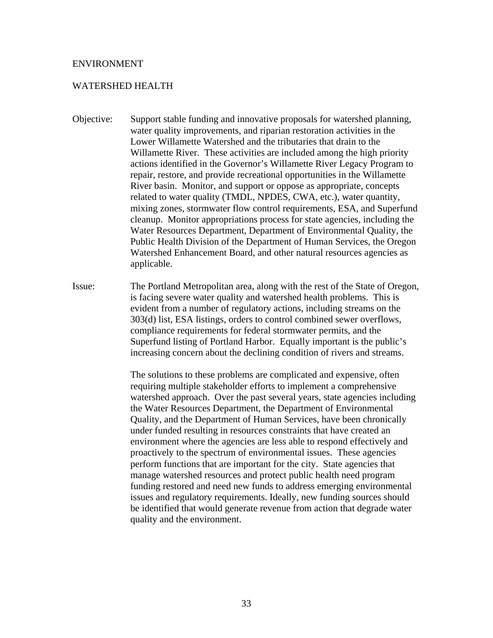#### ENVIRONMENT

#### WATERSHED HEALTH

- Objective: Support stable funding and innovative proposals for watershed planning, water quality improvements, and riparian restoration activities in the Lower Willamette Watershed and the tributaries that drain to the Willamette River. These activities are included among the high priority actions identified in the Governor's Willamette River Legacy Program to repair, restore, and provide recreational opportunities in the Willamette River basin. Monitor, and support or oppose as appropriate, concepts related to water quality (TMDL, NPDES, CWA, etc.), water quantity, mixing zones, stormwater flow control requirements, ESA, and Superfund cleanup. Monitor appropriations process for state agencies, including the Water Resources Department, Department of Environmental Quality, the Public Health Division of the Department of Human Services, the Oregon Watershed Enhancement Board, and other natural resources agencies as applicable.
- Issue: The Portland Metropolitan area, along with the rest of the State of Oregon, is facing severe water quality and watershed health problems. This is evident from a number of regulatory actions, including streams on the 303(d) list, ESA listings, orders to control combined sewer overflows, compliance requirements for federal stormwater permits, and the Superfund listing of Portland Harbor. Equally important is the public's increasing concern about the declining condition of rivers and streams.

The solutions to these problems are complicated and expensive, often requiring multiple stakeholder efforts to implement a comprehensive watershed approach. Over the past several years, state agencies including the Water Resources Department, the Department of Environmental Quality, and the Department of Human Services, have been chronically under funded resulting in resources constraints that have created an environment where the agencies are less able to respond effectively and proactively to the spectrum of environmental issues. These agencies perform functions that are important for the city. State agencies that manage watershed resources and protect public health need program funding restored and need new funds to address emerging environmental issues and regulatory requirements. Ideally, new funding sources should be identified that would generate revenue from action that degrade water quality and the environment.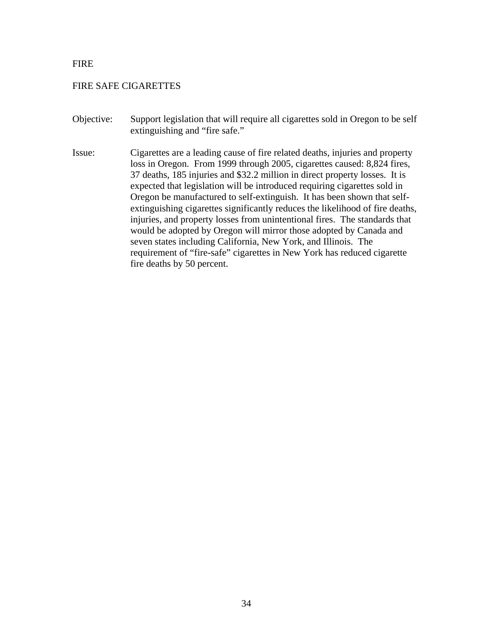# FIRE

# FIRE SAFE CIGARETTES

- Objective: Support legislation that will require all cigarettes sold in Oregon to be self extinguishing and "fire safe."
- Issue: Cigarettes are a leading cause of fire related deaths, injuries and property loss in Oregon. From 1999 through 2005, cigarettes caused: 8,824 fires, 37 deaths, 185 injuries and \$32.2 million in direct property losses. It is expected that legislation will be introduced requiring cigarettes sold in Oregon be manufactured to self-extinguish. It has been shown that selfextinguishing cigarettes significantly reduces the likelihood of fire deaths, injuries, and property losses from unintentional fires. The standards that would be adopted by Oregon will mirror those adopted by Canada and seven states including California, New York, and Illinois. The requirement of "fire-safe" cigarettes in New York has reduced cigarette fire deaths by 50 percent.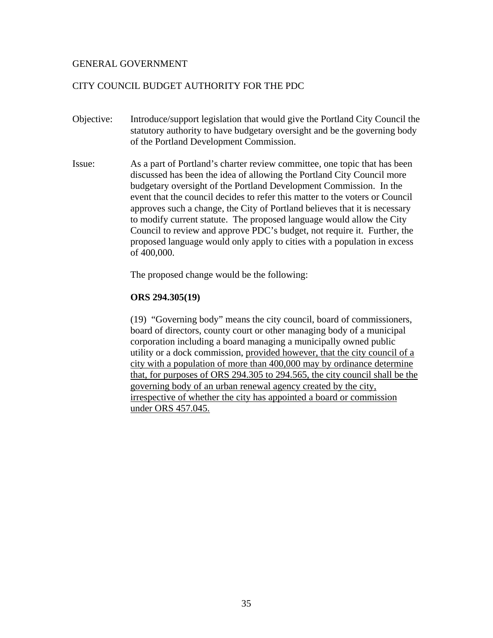# CITY COUNCIL BUDGET AUTHORITY FOR THE PDC

- Objective: Introduce/support legislation that would give the Portland City Council the statutory authority to have budgetary oversight and be the governing body of the Portland Development Commission.
- Issue: As a part of Portland's charter review committee, one topic that has been discussed has been the idea of allowing the Portland City Council more budgetary oversight of the Portland Development Commission. In the event that the council decides to refer this matter to the voters or Council approves such a change, the City of Portland believes that it is necessary to modify current statute. The proposed language would allow the City Council to review and approve PDC's budget, not require it. Further, the proposed language would only apply to cities with a population in excess of 400,000.

The proposed change would be the following:

## **ORS 294.305(19)**

(19) "Governing body" means the city council, board of commissioners, board of directors, county court or other managing body of a municipal corporation including a board managing a municipally owned public utility or a dock commission, provided however, that the city council of a city with a population of more than 400,000 may by ordinance determine that, for purposes of ORS 294.305 to 294.565, the city council shall be the governing body of an urban renewal agency created by the city, irrespective of whether the city has appointed a board or commission under ORS 457.045.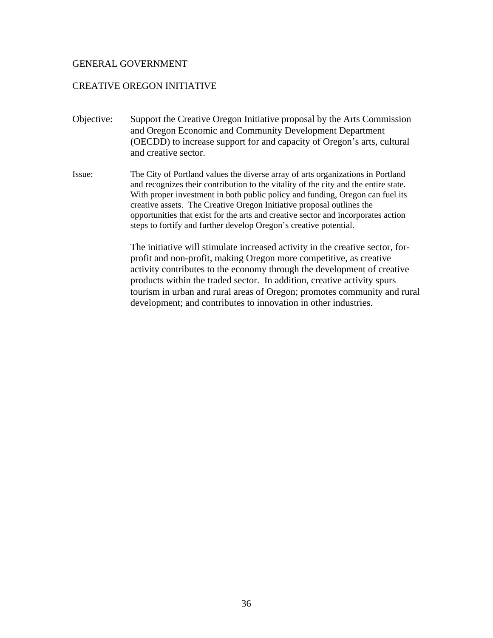# CREATIVE OREGON INITIATIVE

- Objective: Support the Creative Oregon Initiative proposal by the Arts Commission and Oregon Economic and Community Development Department (OECDD) to increase support for and capacity of Oregon's arts, cultural and creative sector.
- Issue: The City of Portland values the diverse array of arts organizations in Portland and recognizes their contribution to the vitality of the city and the entire state. With proper investment in both public policy and funding, Oregon can fuel its creative assets. The Creative Oregon Initiative proposal outlines the opportunities that exist for the arts and creative sector and incorporates action steps to fortify and further develop Oregon's creative potential.

The initiative will stimulate increased activity in the creative sector, forprofit and non-profit, making Oregon more competitive, as creative activity contributes to the economy through the development of creative products within the traded sector. In addition, creative activity spurs tourism in urban and rural areas of Oregon; promotes community and rural development; and contributes to innovation in other industries.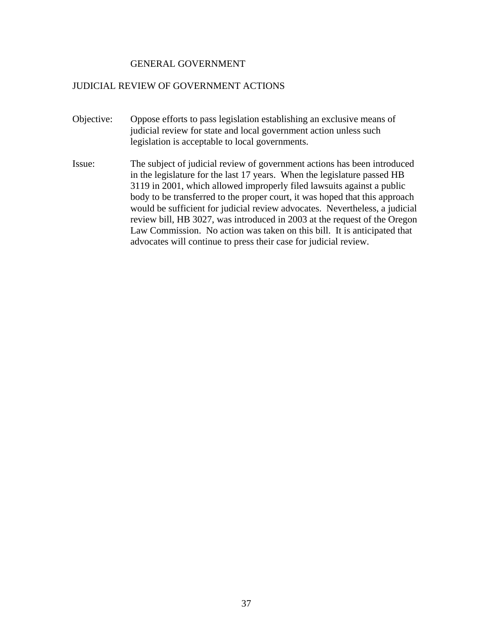### JUDICIAL REVIEW OF GOVERNMENT ACTIONS

- Objective: Oppose efforts to pass legislation establishing an exclusive means of judicial review for state and local government action unless such legislation is acceptable to local governments.
- Issue: The subject of judicial review of government actions has been introduced in the legislature for the last 17 years. When the legislature passed HB 3119 in 2001, which allowed improperly filed lawsuits against a public body to be transferred to the proper court, it was hoped that this approach would be sufficient for judicial review advocates. Nevertheless, a judicial review bill, HB 3027, was introduced in 2003 at the request of the Oregon Law Commission. No action was taken on this bill. It is anticipated that advocates will continue to press their case for judicial review.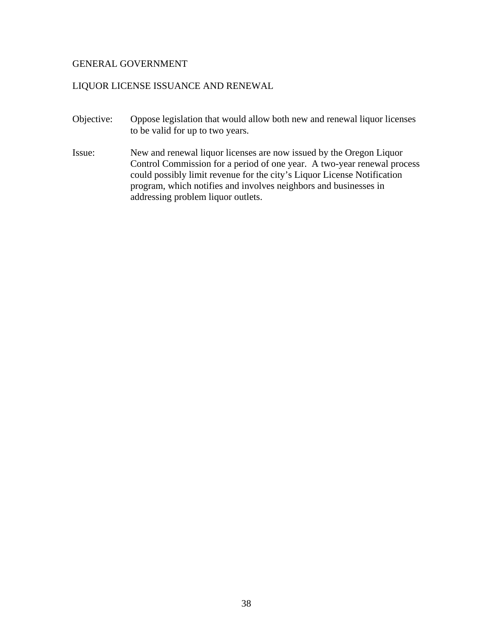# LIQUOR LICENSE ISSUANCE AND RENEWAL

- Objective: Oppose legislation that would allow both new and renewal liquor licenses to be valid for up to two years.
- Issue: New and renewal liquor licenses are now issued by the Oregon Liquor Control Commission for a period of one year. A two-year renewal process could possibly limit revenue for the city's Liquor License Notification program, which notifies and involves neighbors and businesses in addressing problem liquor outlets.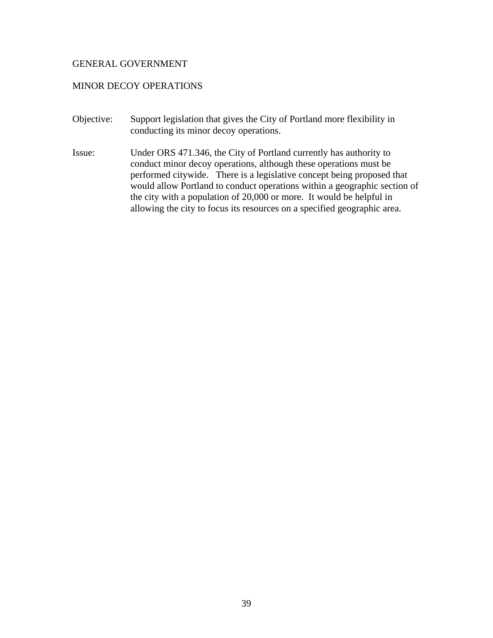# MINOR DECOY OPERATIONS

- Objective: Support legislation that gives the City of Portland more flexibility in conducting its minor decoy operations.
- Issue: Under ORS 471.346, the City of Portland currently has authority to conduct minor decoy operations, although these operations must be performed citywide. There is a legislative concept being proposed that would allow Portland to conduct operations within a geographic section of the city with a population of 20,000 or more. It would be helpful in allowing the city to focus its resources on a specified geographic area.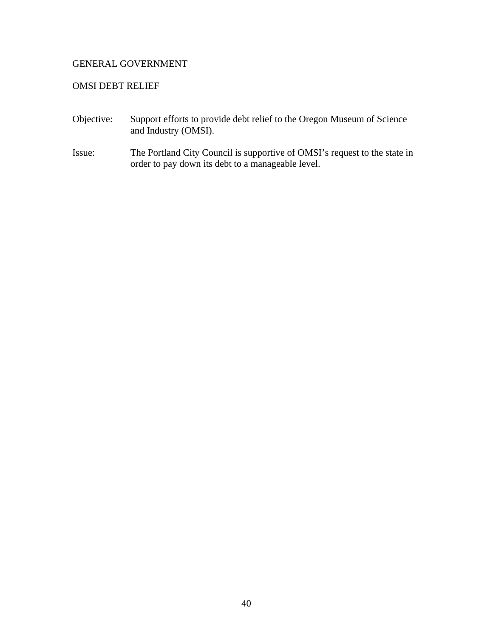# OMSI DEBT RELIEF

- Objective: Support efforts to provide debt relief to the Oregon Museum of Science and Industry (OMSI).
- Issue: The Portland City Council is supportive of OMSI's request to the state in order to pay down its debt to a manageable level.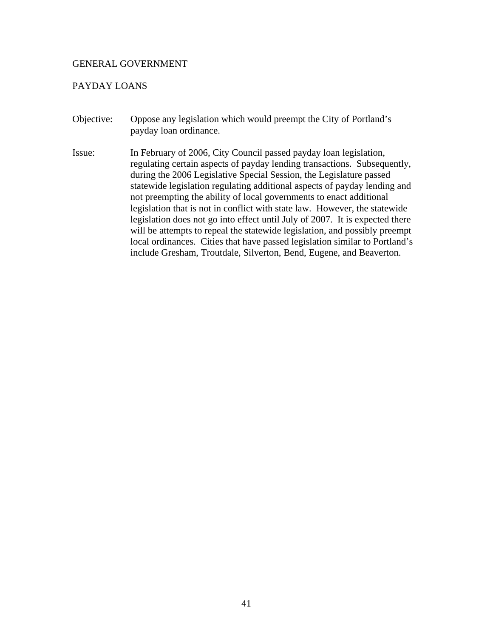# PAYDAY LOANS

Objective: Oppose any legislation which would preempt the City of Portland's payday loan ordinance. Issue: In February of 2006, City Council passed payday loan legislation, regulating certain aspects of payday lending transactions. Subsequently, during the 2006 Legislative Special Session, the Legislature passed statewide legislation regulating additional aspects of payday lending and not preempting the ability of local governments to enact additional legislation that is not in conflict with state law. However, the statewide legislation does not go into effect until July of 2007. It is expected there will be attempts to repeal the statewide legislation, and possibly preempt local ordinances. Cities that have passed legislation similar to Portland's include Gresham, Troutdale, Silverton, Bend, Eugene, and Beaverton.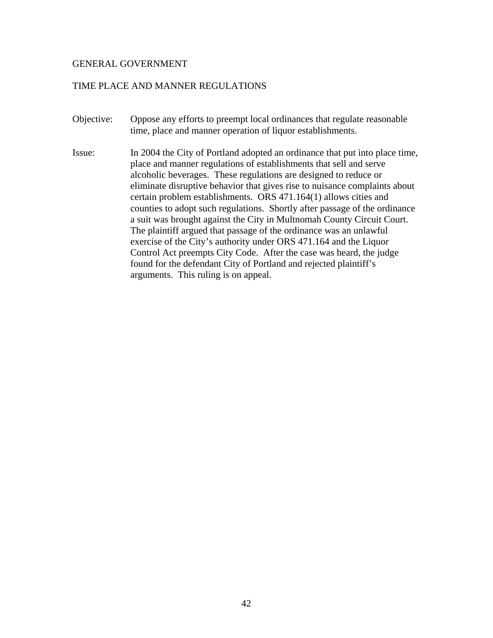# TIME PLACE AND MANNER REGULATIONS

- Objective: Oppose any efforts to preempt local ordinances that regulate reasonable time, place and manner operation of liquor establishments.
- Issue: In 2004 the City of Portland adopted an ordinance that put into place time, place and manner regulations of establishments that sell and serve alcoholic beverages. These regulations are designed to reduce or eliminate disruptive behavior that gives rise to nuisance complaints about certain problem establishments. ORS 471.164(1) allows cities and counties to adopt such regulations. Shortly after passage of the ordinance a suit was brought against the City in Multnomah County Circuit Court. The plaintiff argued that passage of the ordinance was an unlawful exercise of the City's authority under ORS 471.164 and the Liquor Control Act preempts City Code. After the case was heard, the judge found for the defendant City of Portland and rejected plaintiff's arguments. This ruling is on appeal.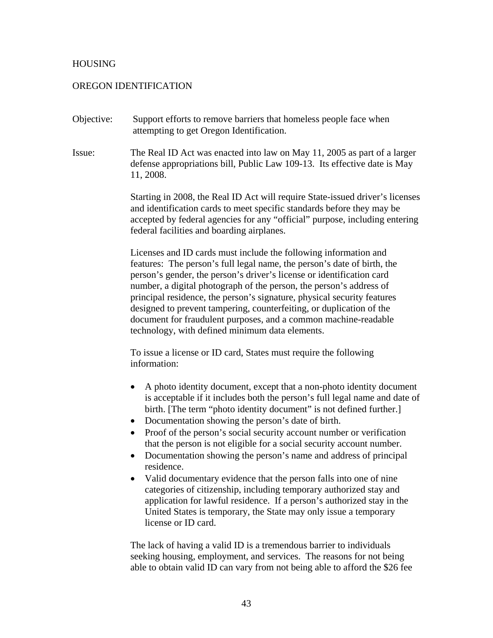# **HOUSING**

# OREGON IDENTIFICATION

- Objective: Support efforts to remove barriers that homeless people face when attempting to get Oregon Identification.
- Issue: The Real ID Act was enacted into law on May 11, 2005 as part of a larger defense appropriations bill, Public Law 109-13. Its effective date is May 11, 2008.

Starting in 2008, the Real ID Act will require State-issued driver's licenses and identification cards to meet specific standards before they may be accepted by federal agencies for any "official" purpose, including entering federal facilities and boarding airplanes.

Licenses and ID cards must include the following information and features: The person's full legal name, the person's date of birth, the person's gender, the person's driver's license or identification card number, a digital photograph of the person, the person's address of principal residence, the person's signature, physical security features designed to prevent tampering, counterfeiting, or duplication of the document for fraudulent purposes, and a common machine-readable technology, with defined minimum data elements.

To issue a license or ID card, States must require the following information:

- A photo identity document, except that a non-photo identity document is acceptable if it includes both the person's full legal name and date of birth. [The term "photo identity document" is not defined further.]
- Documentation showing the person's date of birth.
- Proof of the person's social security account number or verification that the person is not eligible for a social security account number.
- Documentation showing the person's name and address of principal residence.
- Valid documentary evidence that the person falls into one of nine categories of citizenship, including temporary authorized stay and application for lawful residence. If a person's authorized stay in the United States is temporary, the State may only issue a temporary license or ID card.

The lack of having a valid ID is a tremendous barrier to individuals seeking housing, employment, and services. The reasons for not being able to obtain valid ID can vary from not being able to afford the \$26 fee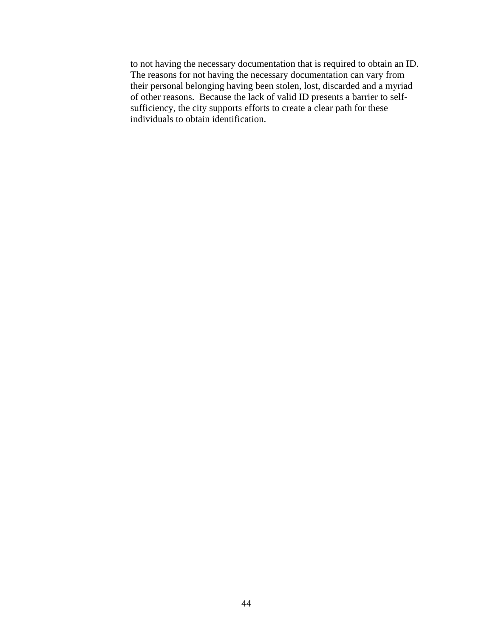to not having the necessary documentation that is required to obtain an ID. The reasons for not having the necessary documentation can vary from their personal belonging having been stolen, lost, discarded and a myriad of other reasons. Because the lack of valid ID presents a barrier to selfsufficiency, the city supports efforts to create a clear path for these individuals to obtain identification.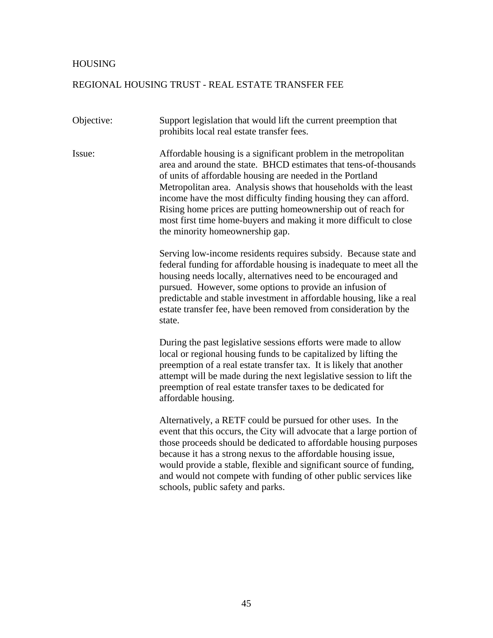## HOUSING

## REGIONAL HOUSING TRUST - REAL ESTATE TRANSFER FEE

Objective: Support legislation that would lift the current preemption that prohibits local real estate transfer fees.

Issue: Affordable housing is a significant problem in the metropolitan area and around the state. BHCD estimates that tens-of-thousands of units of affordable housing are needed in the Portland Metropolitan area. Analysis shows that households with the least income have the most difficulty finding housing they can afford. Rising home prices are putting homeownership out of reach for most first time home-buyers and making it more difficult to close the minority homeownership gap.

> Serving low-income residents requires subsidy. Because state and federal funding for affordable housing is inadequate to meet all the housing needs locally, alternatives need to be encouraged and pursued. However, some options to provide an infusion of predictable and stable investment in affordable housing, like a real estate transfer fee, have been removed from consideration by the state.

During the past legislative sessions efforts were made to allow local or regional housing funds to be capitalized by lifting the preemption of a real estate transfer tax. It is likely that another attempt will be made during the next legislative session to lift the preemption of real estate transfer taxes to be dedicated for affordable housing.

Alternatively, a RETF could be pursued for other uses. In the event that this occurs, the City will advocate that a large portion of those proceeds should be dedicated to affordable housing purposes because it has a strong nexus to the affordable housing issue, would provide a stable, flexible and significant source of funding, and would not compete with funding of other public services like schools, public safety and parks.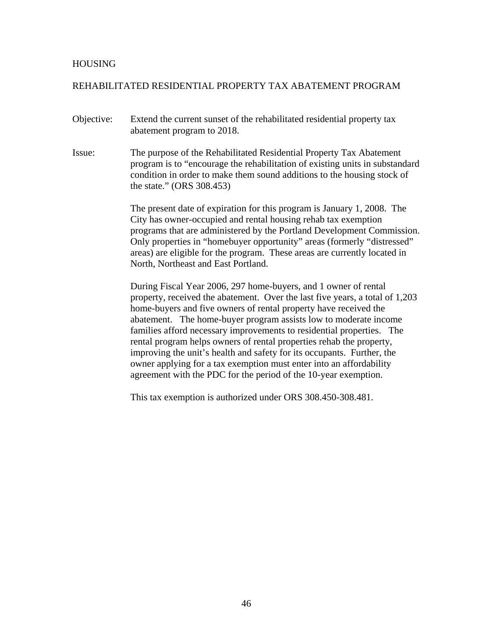## **HOUSING**

# REHABILITATED RESIDENTIAL PROPERTY TAX ABATEMENT PROGRAM

- Objective: Extend the current sunset of the rehabilitated residential property tax abatement program to 2018.
- Issue: The purpose of the Rehabilitated Residential Property Tax Abatement program is to "encourage the rehabilitation of existing units in substandard condition in order to make them sound additions to the housing stock of the state." (ORS 308.453)

The present date of expiration for this program is January 1, 2008. The City has owner-occupied and rental housing rehab tax exemption programs that are administered by the Portland Development Commission. Only properties in "homebuyer opportunity" areas (formerly "distressed" areas) are eligible for the program. These areas are currently located in North, Northeast and East Portland.

During Fiscal Year 2006, 297 home-buyers, and 1 owner of rental property, received the abatement. Over the last five years, a total of 1,203 home-buyers and five owners of rental property have received the abatement. The home-buyer program assists low to moderate income families afford necessary improvements to residential properties. The rental program helps owners of rental properties rehab the property, improving the unit's health and safety for its occupants. Further, the owner applying for a tax exemption must enter into an affordability agreement with the PDC for the period of the 10-year exemption.

This tax exemption is authorized under ORS 308.450-308.481.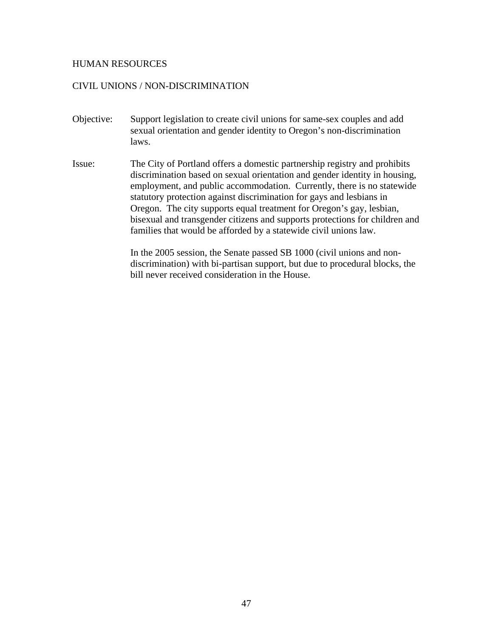## HUMAN RESOURCES

## CIVIL UNIONS / NON-DISCRIMINATION

- Objective: Support legislation to create civil unions for same-sex couples and add sexual orientation and gender identity to Oregon's non-discrimination laws.
- Issue: The City of Portland offers a domestic partnership registry and prohibits discrimination based on sexual orientation and gender identity in housing, employment, and public accommodation. Currently, there is no statewide statutory protection against discrimination for gays and lesbians in Oregon. The city supports equal treatment for Oregon's gay, lesbian, bisexual and transgender citizens and supports protections for children and families that would be afforded by a statewide civil unions law.

In the 2005 session, the Senate passed SB 1000 (civil unions and nondiscrimination) with bi-partisan support, but due to procedural blocks, the bill never received consideration in the House.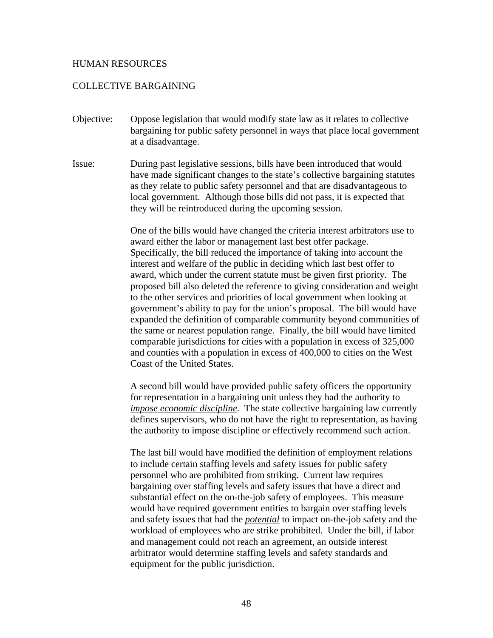### HUMAN RESOURCES

# COLLECTIVE BARGAINING

- Objective: Oppose legislation that would modify state law as it relates to collective bargaining for public safety personnel in ways that place local government at a disadvantage.
- Issue: During past legislative sessions, bills have been introduced that would have made significant changes to the state's collective bargaining statutes as they relate to public safety personnel and that are disadvantageous to local government. Although those bills did not pass, it is expected that they will be reintroduced during the upcoming session.

One of the bills would have changed the criteria interest arbitrators use to award either the labor or management last best offer package. Specifically, the bill reduced the importance of taking into account the interest and welfare of the public in deciding which last best offer to award, which under the current statute must be given first priority. The proposed bill also deleted the reference to giving consideration and weight to the other services and priorities of local government when looking at government's ability to pay for the union's proposal. The bill would have expanded the definition of comparable community beyond communities of the same or nearest population range. Finally, the bill would have limited comparable jurisdictions for cities with a population in excess of 325,000 and counties with a population in excess of 400,000 to cities on the West Coast of the United States.

A second bill would have provided public safety officers the opportunity for representation in a bargaining unit unless they had the authority to *impose economic discipline*. The state collective bargaining law currently defines supervisors, who do not have the right to representation, as having the authority to impose discipline or effectively recommend such action.

The last bill would have modified the definition of employment relations to include certain staffing levels and safety issues for public safety personnel who are prohibited from striking. Current law requires bargaining over staffing levels and safety issues that have a direct and substantial effect on the on-the-job safety of employees. This measure would have required government entities to bargain over staffing levels and safety issues that had the *potential* to impact on-the-job safety and the workload of employees who are strike prohibited. Under the bill, if labor and management could not reach an agreement, an outside interest arbitrator would determine staffing levels and safety standards and equipment for the public jurisdiction.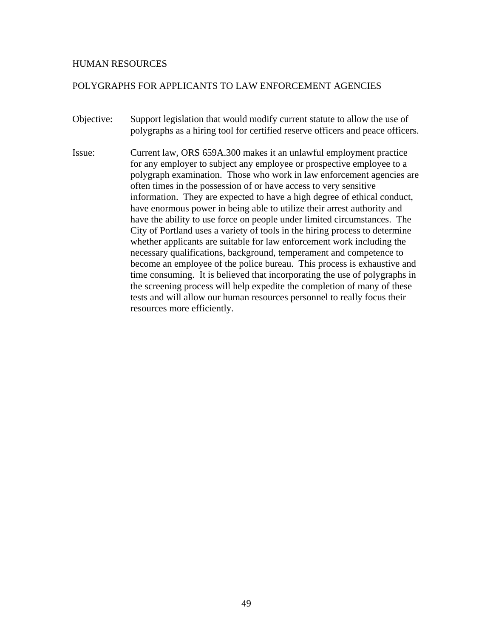## HUMAN RESOURCES

# POLYGRAPHS FOR APPLICANTS TO LAW ENFORCEMENT AGENCIES

- Objective: Support legislation that would modify current statute to allow the use of polygraphs as a hiring tool for certified reserve officers and peace officers.
- Issue: Current law, ORS 659A.300 makes it an unlawful employment practice for any employer to subject any employee or prospective employee to a polygraph examination. Those who work in law enforcement agencies are often times in the possession of or have access to very sensitive information. They are expected to have a high degree of ethical conduct, have enormous power in being able to utilize their arrest authority and have the ability to use force on people under limited circumstances. The City of Portland uses a variety of tools in the hiring process to determine whether applicants are suitable for law enforcement work including the necessary qualifications, background, temperament and competence to become an employee of the police bureau. This process is exhaustive and time consuming. It is believed that incorporating the use of polygraphs in the screening process will help expedite the completion of many of these tests and will allow our human resources personnel to really focus their resources more efficiently.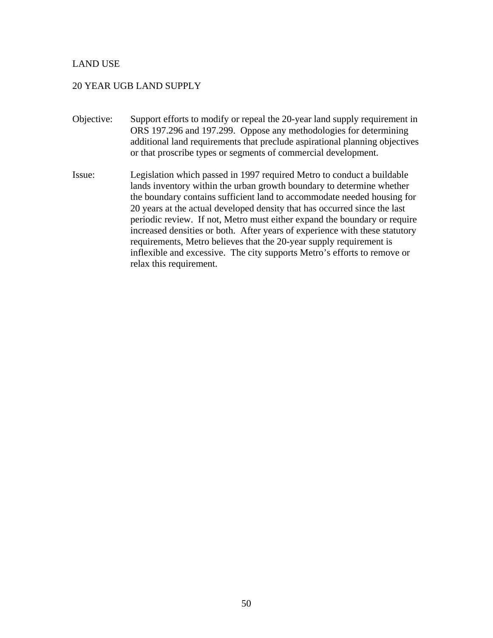# LAND USE

# 20 YEAR UGB LAND SUPPLY

- Objective: Support efforts to modify or repeal the 20-year land supply requirement in ORS 197.296 and 197.299. Oppose any methodologies for determining additional land requirements that preclude aspirational planning objectives or that proscribe types or segments of commercial development.
- Issue: Legislation which passed in 1997 required Metro to conduct a buildable lands inventory within the urban growth boundary to determine whether the boundary contains sufficient land to accommodate needed housing for 20 years at the actual developed density that has occurred since the last periodic review. If not, Metro must either expand the boundary or require increased densities or both. After years of experience with these statutory requirements, Metro believes that the 20-year supply requirement is inflexible and excessive. The city supports Metro's efforts to remove or relax this requirement.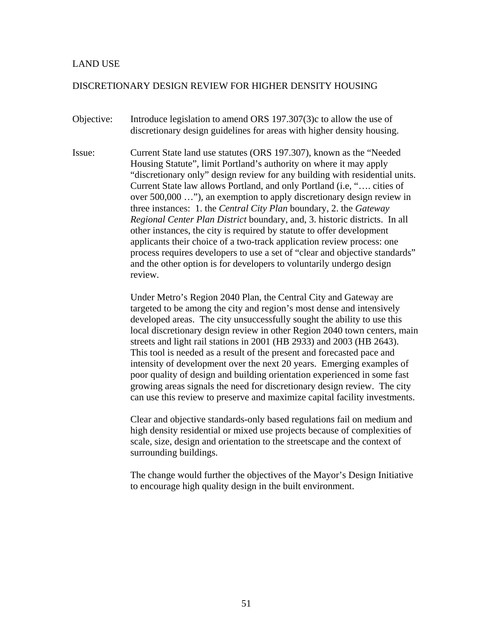## LAND USE

#### DISCRETIONARY DESIGN REVIEW FOR HIGHER DENSITY HOUSING

- Objective: Introduce legislation to amend ORS 197.307(3)c to allow the use of discretionary design guidelines for areas with higher density housing.
- Issue: Current State land use statutes (ORS 197.307), known as the "Needed Housing Statute", limit Portland's authority on where it may apply "discretionary only" design review for any building with residential units. Current State law allows Portland, and only Portland (i.e, "…. cities of over 500,000 …"), an exemption to apply discretionary design review in three instances: 1. the *Central City Plan* boundary, 2. the *Gateway Regional Center Plan District* boundary, and, 3. historic districts. In all other instances, the city is required by statute to offer development applicants their choice of a two-track application review process: one process requires developers to use a set of "clear and objective standards" and the other option is for developers to voluntarily undergo design review.

Under Metro's Region 2040 Plan, the Central City and Gateway are targeted to be among the city and region's most dense and intensively developed areas. The city unsuccessfully sought the ability to use this local discretionary design review in other Region 2040 town centers, main streets and light rail stations in 2001 (HB 2933) and 2003 (HB 2643). This tool is needed as a result of the present and forecasted pace and intensity of development over the next 20 years. Emerging examples of poor quality of design and building orientation experienced in some fast growing areas signals the need for discretionary design review. The city can use this review to preserve and maximize capital facility investments.

Clear and objective standards-only based regulations fail on medium and high density residential or mixed use projects because of complexities of scale, size, design and orientation to the streetscape and the context of surrounding buildings.

The change would further the objectives of the Mayor's Design Initiative to encourage high quality design in the built environment.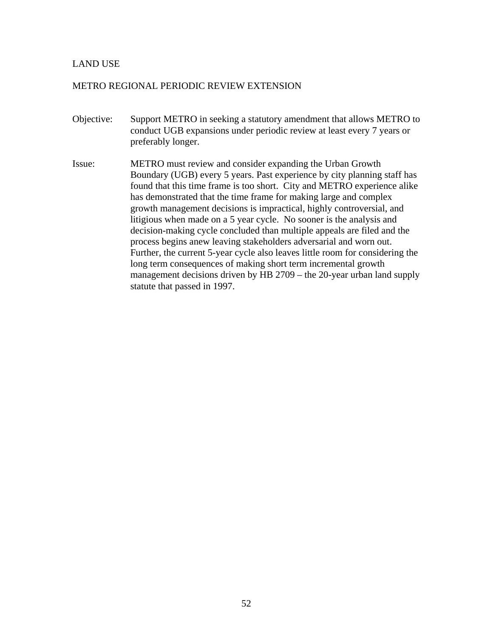# LAND USE

## METRO REGIONAL PERIODIC REVIEW EXTENSION

- Objective: Support METRO in seeking a statutory amendment that allows METRO to conduct UGB expansions under periodic review at least every 7 years or preferably longer.
- Issue: METRO must review and consider expanding the Urban Growth Boundary (UGB) every 5 years. Past experience by city planning staff has found that this time frame is too short. City and METRO experience alike has demonstrated that the time frame for making large and complex growth management decisions is impractical, highly controversial, and litigious when made on a 5 year cycle. No sooner is the analysis and decision-making cycle concluded than multiple appeals are filed and the process begins anew leaving stakeholders adversarial and worn out. Further, the current 5-year cycle also leaves little room for considering the long term consequences of making short term incremental growth management decisions driven by HB 2709 – the 20-year urban land supply statute that passed in 1997.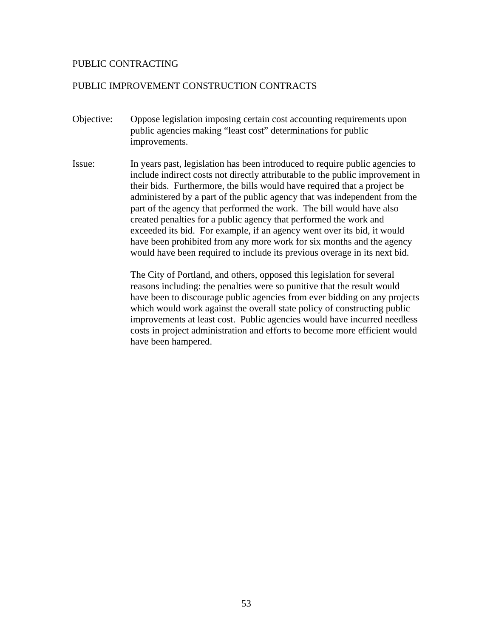# PUBLIC CONTRACTING

# PUBLIC IMPROVEMENT CONSTRUCTION CONTRACTS

- Objective: Oppose legislation imposing certain cost accounting requirements upon public agencies making "least cost" determinations for public improvements.
- Issue: In years past, legislation has been introduced to require public agencies to include indirect costs not directly attributable to the public improvement in their bids. Furthermore, the bills would have required that a project be administered by a part of the public agency that was independent from the part of the agency that performed the work. The bill would have also created penalties for a public agency that performed the work and exceeded its bid. For example, if an agency went over its bid, it would have been prohibited from any more work for six months and the agency would have been required to include its previous overage in its next bid.

The City of Portland, and others, opposed this legislation for several reasons including: the penalties were so punitive that the result would have been to discourage public agencies from ever bidding on any projects which would work against the overall state policy of constructing public improvements at least cost. Public agencies would have incurred needless costs in project administration and efforts to become more efficient would have been hampered.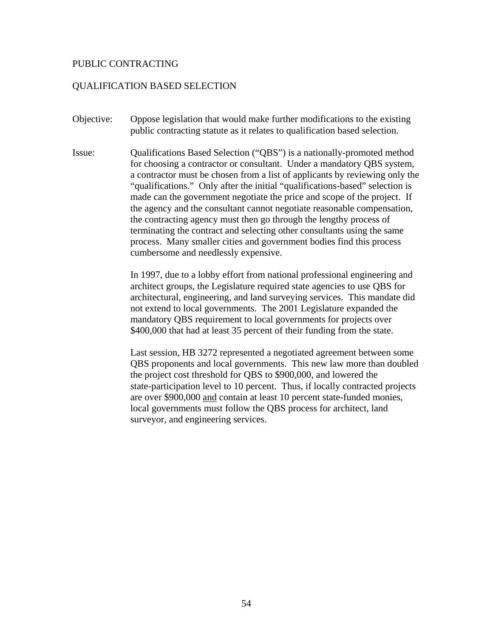### PUBLIC CONTRACTING

#### QUALIFICATION BASED SELECTION

- Objective: Oppose legislation that would make further modifications to the existing public contracting statute as it relates to qualification based selection.
- Issue: Qualifications Based Selection ("QBS") is a nationally-promoted method for choosing a contractor or consultant. Under a mandatory QBS system, a contractor must be chosen from a list of applicants by reviewing only the "qualifications." Only after the initial "qualifications-based" selection is made can the government negotiate the price and scope of the project. If the agency and the consultant cannot negotiate reasonable compensation, the contracting agency must then go through the lengthy process of terminating the contract and selecting other consultants using the same process. Many smaller cities and government bodies find this process cumbersome and needlessly expensive.

In 1997, due to a lobby effort from national professional engineering and architect groups, the Legislature required state agencies to use QBS for architectural, engineering, and land surveying services. This mandate did not extend to local governments. The 2001 Legislature expanded the mandatory QBS requirement to local governments for projects over \$400,000 that had at least 35 percent of their funding from the state.

Last session, HB 3272 represented a negotiated agreement between some QBS proponents and local governments. This new law more than doubled the project cost threshold for QBS to \$900,000, and lowered the state-participation level to 10 percent. Thus, if locally contracted projects are over \$900,000 and contain at least 10 percent state-funded monies, local governments must follow the QBS process for architect, land surveyor, and engineering services.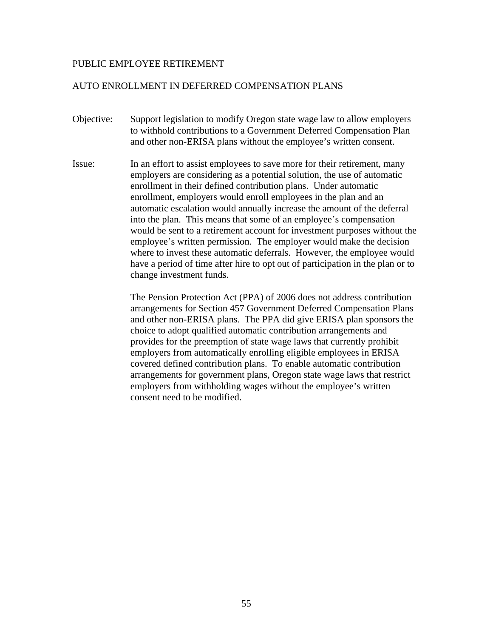## PUBLIC EMPLOYEE RETIREMENT

## AUTO ENROLLMENT IN DEFERRED COMPENSATION PLANS

- Objective: Support legislation to modify Oregon state wage law to allow employers to withhold contributions to a Government Deferred Compensation Plan and other non-ERISA plans without the employee's written consent.
- Issue: In an effort to assist employees to save more for their retirement, many employers are considering as a potential solution, the use of automatic enrollment in their defined contribution plans. Under automatic enrollment, employers would enroll employees in the plan and an automatic escalation would annually increase the amount of the deferral into the plan. This means that some of an employee's compensation would be sent to a retirement account for investment purposes without the employee's written permission. The employer would make the decision where to invest these automatic deferrals. However, the employee would have a period of time after hire to opt out of participation in the plan or to change investment funds.

The Pension Protection Act (PPA) of 2006 does not address contribution arrangements for Section 457 Government Deferred Compensation Plans and other non-ERISA plans. The PPA did give ERISA plan sponsors the choice to adopt qualified automatic contribution arrangements and provides for the preemption of state wage laws that currently prohibit employers from automatically enrolling eligible employees in ERISA covered defined contribution plans. To enable automatic contribution arrangements for government plans, Oregon state wage laws that restrict employers from withholding wages without the employee's written consent need to be modified.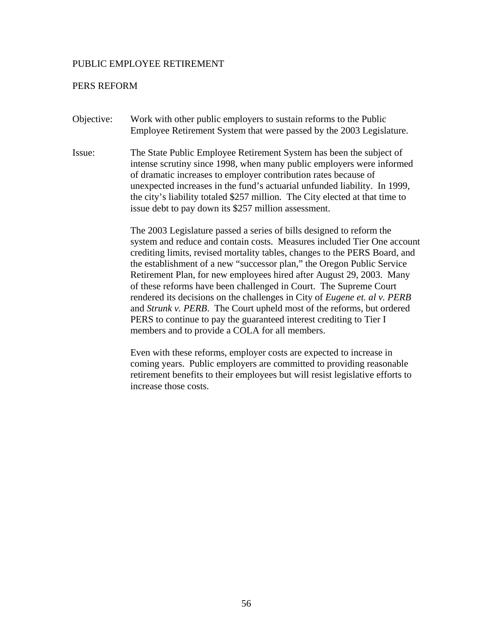#### PUBLIC EMPLOYEE RETIREMENT

#### PERS REFORM

- Objective: Work with other public employers to sustain reforms to the Public Employee Retirement System that were passed by the 2003 Legislature.
- Issue: The State Public Employee Retirement System has been the subject of intense scrutiny since 1998, when many public employers were informed of dramatic increases to employer contribution rates because of unexpected increases in the fund's actuarial unfunded liability. In 1999, the city's liability totaled \$257 million. The City elected at that time to issue debt to pay down its \$257 million assessment.

The 2003 Legislature passed a series of bills designed to reform the system and reduce and contain costs. Measures included Tier One account crediting limits, revised mortality tables, changes to the PERS Board, and the establishment of a new "successor plan," the Oregon Public Service Retirement Plan, for new employees hired after August 29, 2003. Many of these reforms have been challenged in Court. The Supreme Court rendered its decisions on the challenges in City of *Eugene et. al v. PERB* and *Strunk v. PERB*. The Court upheld most of the reforms, but ordered PERS to continue to pay the guaranteed interest crediting to Tier I members and to provide a COLA for all members.

Even with these reforms, employer costs are expected to increase in coming years. Public employers are committed to providing reasonable retirement benefits to their employees but will resist legislative efforts to increase those costs.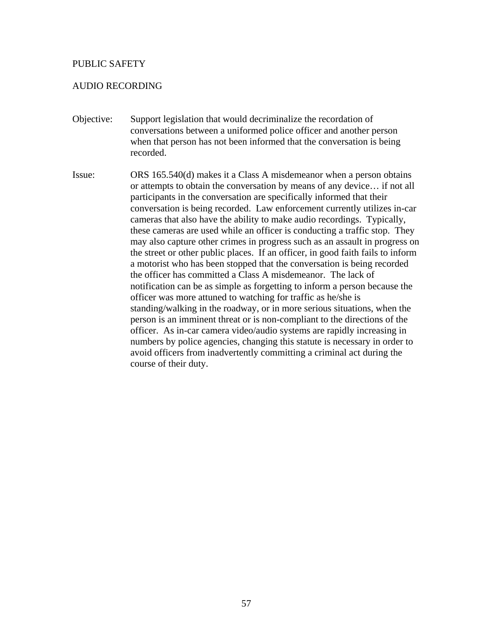## AUDIO RECORDING

- Objective: Support legislation that would decriminalize the recordation of conversations between a uniformed police officer and another person when that person has not been informed that the conversation is being recorded.
- Issue: ORS 165.540(d) makes it a Class A misdemeanor when a person obtains or attempts to obtain the conversation by means of any device… if not all participants in the conversation are specifically informed that their conversation is being recorded. Law enforcement currently utilizes in-car cameras that also have the ability to make audio recordings. Typically, these cameras are used while an officer is conducting a traffic stop. They may also capture other crimes in progress such as an assault in progress on the street or other public places. If an officer, in good faith fails to inform a motorist who has been stopped that the conversation is being recorded the officer has committed a Class A misdemeanor. The lack of notification can be as simple as forgetting to inform a person because the officer was more attuned to watching for traffic as he/she is standing/walking in the roadway, or in more serious situations, when the person is an imminent threat or is non-compliant to the directions of the officer. As in-car camera video/audio systems are rapidly increasing in numbers by police agencies, changing this statute is necessary in order to avoid officers from inadvertently committing a criminal act during the course of their duty.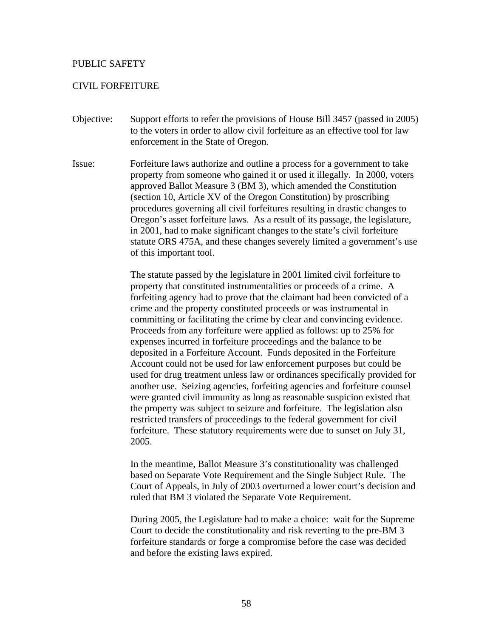## CIVIL FORFEITURE

- Objective: Support efforts to refer the provisions of House Bill 3457 (passed in 2005) to the voters in order to allow civil forfeiture as an effective tool for law enforcement in the State of Oregon.
- Issue: Forfeiture laws authorize and outline a process for a government to take property from someone who gained it or used it illegally. In 2000, voters approved Ballot Measure 3 (BM 3), which amended the Constitution (section 10, Article XV of the Oregon Constitution) by proscribing procedures governing all civil forfeitures resulting in drastic changes to Oregon's asset forfeiture laws. As a result of its passage, the legislature, in 2001, had to make significant changes to the state's civil forfeiture statute ORS 475A, and these changes severely limited a government's use of this important tool.

The statute passed by the legislature in 2001 limited civil forfeiture to property that constituted instrumentalities or proceeds of a crime. A forfeiting agency had to prove that the claimant had been convicted of a crime and the property constituted proceeds or was instrumental in committing or facilitating the crime by clear and convincing evidence. Proceeds from any forfeiture were applied as follows: up to 25% for expenses incurred in forfeiture proceedings and the balance to be deposited in a Forfeiture Account. Funds deposited in the Forfeiture Account could not be used for law enforcement purposes but could be used for drug treatment unless law or ordinances specifically provided for another use. Seizing agencies, forfeiting agencies and forfeiture counsel were granted civil immunity as long as reasonable suspicion existed that the property was subject to seizure and forfeiture. The legislation also restricted transfers of proceedings to the federal government for civil forfeiture. These statutory requirements were due to sunset on July 31, 2005.

In the meantime, Ballot Measure 3's constitutionality was challenged based on Separate Vote Requirement and the Single Subject Rule. The Court of Appeals, in July of 2003 overturned a lower court's decision and ruled that BM 3 violated the Separate Vote Requirement.

During 2005, the Legislature had to make a choice: wait for the Supreme Court to decide the constitutionality and risk reverting to the pre-BM 3 forfeiture standards or forge a compromise before the case was decided and before the existing laws expired.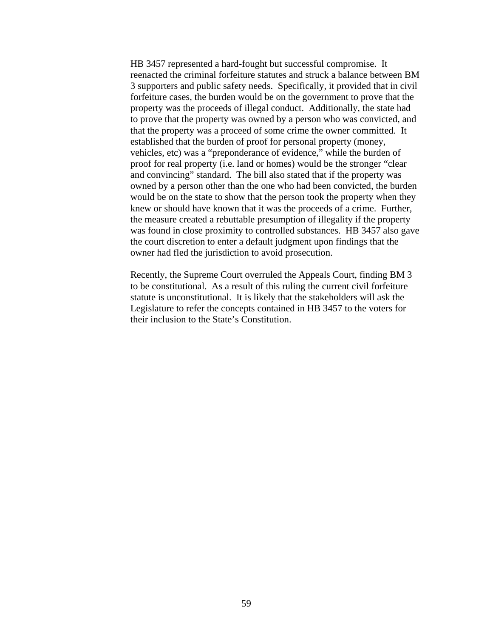HB 3457 represented a hard-fought but successful compromise. It reenacted the criminal forfeiture statutes and struck a balance between BM 3 supporters and public safety needs. Specifically, it provided that in civil forfeiture cases, the burden would be on the government to prove that the property was the proceeds of illegal conduct. Additionally, the state had to prove that the property was owned by a person who was convicted, and that the property was a proceed of some crime the owner committed. It established that the burden of proof for personal property (money, vehicles, etc) was a "preponderance of evidence," while the burden of proof for real property (i.e. land or homes) would be the stronger "clear and convincing" standard. The bill also stated that if the property was owned by a person other than the one who had been convicted, the burden would be on the state to show that the person took the property when they knew or should have known that it was the proceeds of a crime. Further, the measure created a rebuttable presumption of illegality if the property was found in close proximity to controlled substances. HB 3457 also gave the court discretion to enter a default judgment upon findings that the owner had fled the jurisdiction to avoid prosecution.

Recently, the Supreme Court overruled the Appeals Court, finding BM 3 to be constitutional. As a result of this ruling the current civil forfeiture statute is unconstitutional. It is likely that the stakeholders will ask the Legislature to refer the concepts contained in HB 3457 to the voters for their inclusion to the State's Constitution.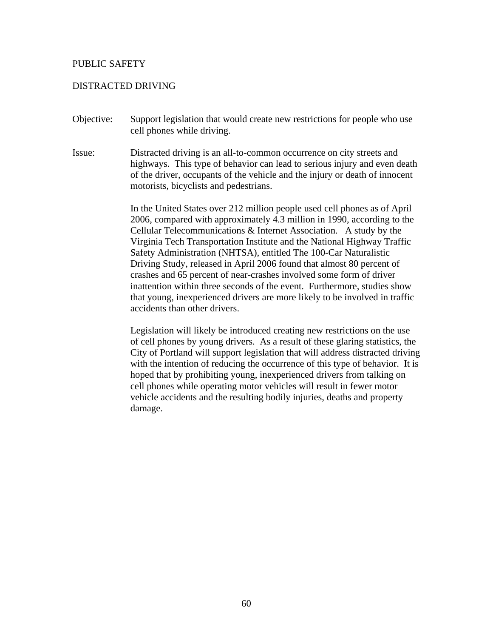### DISTRACTED DRIVING

- Objective: Support legislation that would create new restrictions for people who use cell phones while driving.
- Issue: Distracted driving is an all-to-common occurrence on city streets and highways. This type of behavior can lead to serious injury and even death of the driver, occupants of the vehicle and the injury or death of innocent motorists, bicyclists and pedestrians.

In the United States over 212 million people used cell phones as of April 2006, compared with approximately 4.3 million in 1990, according to the Cellular Telecommunications & Internet Association. A study by the Virginia Tech Transportation Institute and the National Highway Traffic Safety Administration (NHTSA), entitled The 100-Car Naturalistic Driving Study, released in April 2006 found that almost 80 percent of crashes and 65 percent of near-crashes involved some form of driver inattention within three seconds of the event. Furthermore, studies show that young, inexperienced drivers are more likely to be involved in traffic accidents than other drivers.

Legislation will likely be introduced creating new restrictions on the use of cell phones by young drivers. As a result of these glaring statistics, the City of Portland will support legislation that will address distracted driving with the intention of reducing the occurrence of this type of behavior. It is hoped that by prohibiting young, inexperienced drivers from talking on cell phones while operating motor vehicles will result in fewer motor vehicle accidents and the resulting bodily injuries, deaths and property damage.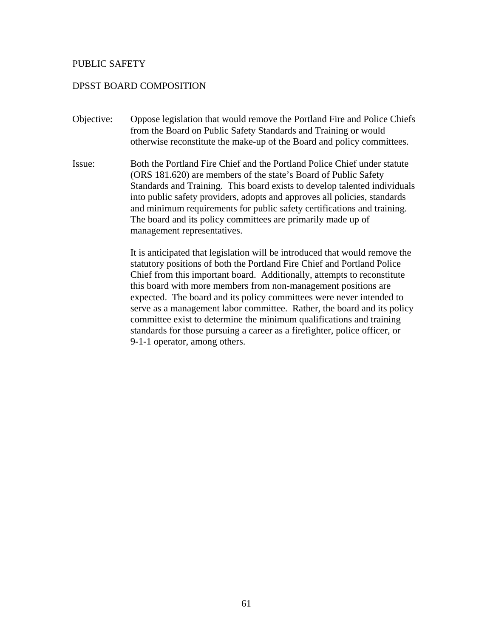# DPSST BOARD COMPOSITION

- Objective: Oppose legislation that would remove the Portland Fire and Police Chiefs from the Board on Public Safety Standards and Training or would otherwise reconstitute the make-up of the Board and policy committees.
- Issue: Both the Portland Fire Chief and the Portland Police Chief under statute (ORS 181.620) are members of the state's Board of Public Safety Standards and Training. This board exists to develop talented individuals into public safety providers, adopts and approves all policies, standards and minimum requirements for public safety certifications and training. The board and its policy committees are primarily made up of management representatives.

It is anticipated that legislation will be introduced that would remove the statutory positions of both the Portland Fire Chief and Portland Police Chief from this important board. Additionally, attempts to reconstitute this board with more members from non-management positions are expected. The board and its policy committees were never intended to serve as a management labor committee. Rather, the board and its policy committee exist to determine the minimum qualifications and training standards for those pursuing a career as a firefighter, police officer, or 9-1-1 operator, among others.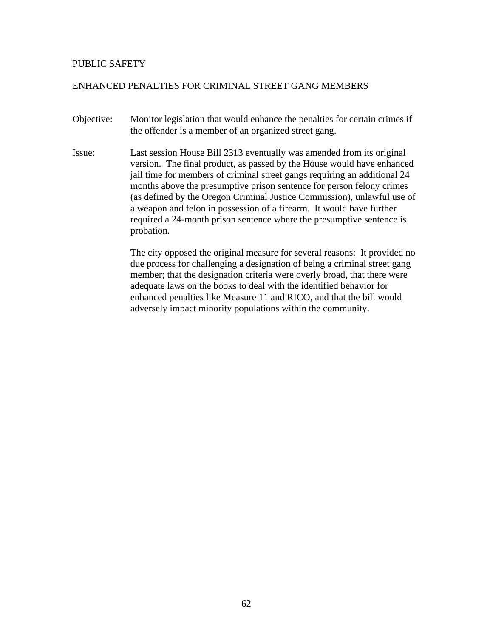# ENHANCED PENALTIES FOR CRIMINAL STREET GANG MEMBERS

- Objective: Monitor legislation that would enhance the penalties for certain crimes if the offender is a member of an organized street gang.
- Issue: Last session House Bill 2313 eventually was amended from its original version. The final product, as passed by the House would have enhanced jail time for members of criminal street gangs requiring an additional 24 months above the presumptive prison sentence for person felony crimes (as defined by the Oregon Criminal Justice Commission), unlawful use of a weapon and felon in possession of a firearm. It would have further required a 24-month prison sentence where the presumptive sentence is probation.

The city opposed the original measure for several reasons: It provided no due process for challenging a designation of being a criminal street gang member; that the designation criteria were overly broad, that there were adequate laws on the books to deal with the identified behavior for enhanced penalties like Measure 11 and RICO, and that the bill would adversely impact minority populations within the community.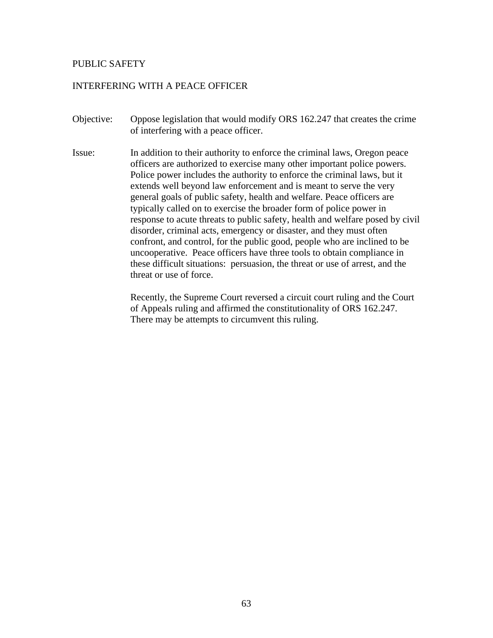# INTERFERING WITH A PEACE OFFICER

- Objective: Oppose legislation that would modify ORS 162.247 that creates the crime of interfering with a peace officer.
- Issue: In addition to their authority to enforce the criminal laws, Oregon peace officers are authorized to exercise many other important police powers. Police power includes the authority to enforce the criminal laws, but it extends well beyond law enforcement and is meant to serve the very general goals of public safety, health and welfare. Peace officers are typically called on to exercise the broader form of police power in response to acute threats to public safety, health and welfare posed by civil disorder, criminal acts, emergency or disaster, and they must often confront, and control, for the public good, people who are inclined to be uncooperative. Peace officers have three tools to obtain compliance in these difficult situations: persuasion, the threat or use of arrest, and the threat or use of force.

Recently, the Supreme Court reversed a circuit court ruling and the Court of Appeals ruling and affirmed the constitutionality of ORS 162.247. There may be attempts to circumvent this ruling.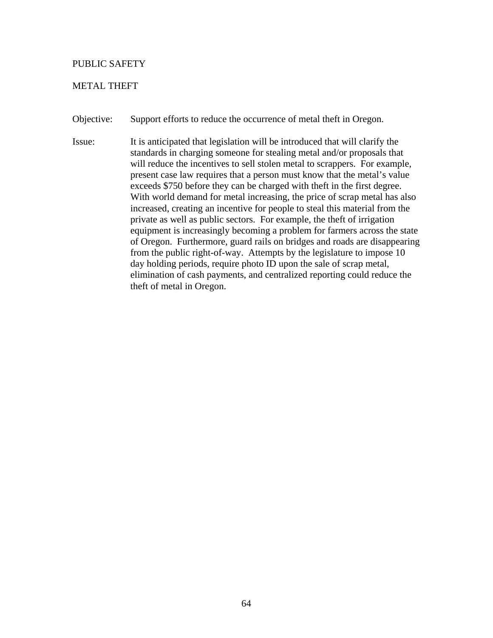# METAL THEFT

Objective: Support efforts to reduce the occurrence of metal theft in Oregon.

Issue: It is anticipated that legislation will be introduced that will clarify the standards in charging someone for stealing metal and/or proposals that will reduce the incentives to sell stolen metal to scrappers. For example, present case law requires that a person must know that the metal's value exceeds \$750 before they can be charged with theft in the first degree. With world demand for metal increasing, the price of scrap metal has also increased, creating an incentive for people to steal this material from the private as well as public sectors. For example, the theft of irrigation equipment is increasingly becoming a problem for farmers across the state of Oregon. Furthermore, guard rails on bridges and roads are disappearing from the public right-of-way. Attempts by the legislature to impose 10 day holding periods, require photo ID upon the sale of scrap metal, elimination of cash payments, and centralized reporting could reduce the theft of metal in Oregon.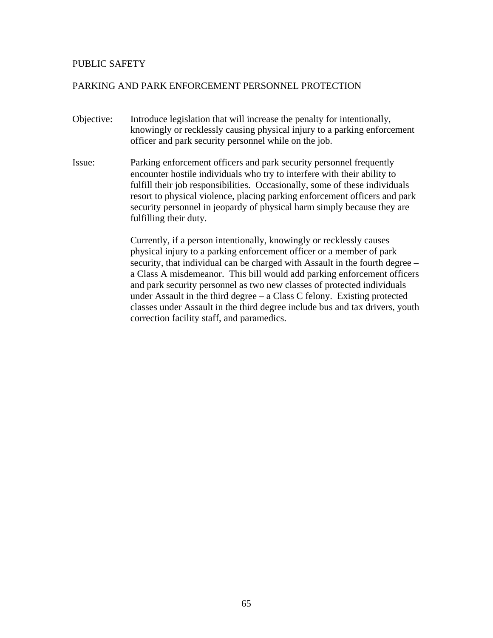# PARKING AND PARK ENFORCEMENT PERSONNEL PROTECTION

- Objective: Introduce legislation that will increase the penalty for intentionally, knowingly or recklessly causing physical injury to a parking enforcement officer and park security personnel while on the job.
- Issue: Parking enforcement officers and park security personnel frequently encounter hostile individuals who try to interfere with their ability to fulfill their job responsibilities. Occasionally, some of these individuals resort to physical violence, placing parking enforcement officers and park security personnel in jeopardy of physical harm simply because they are fulfilling their duty.

Currently, if a person intentionally, knowingly or recklessly causes physical injury to a parking enforcement officer or a member of park security, that individual can be charged with Assault in the fourth degree – a Class A misdemeanor. This bill would add parking enforcement officers and park security personnel as two new classes of protected individuals under Assault in the third degree – a Class C felony. Existing protected classes under Assault in the third degree include bus and tax drivers, youth correction facility staff, and paramedics.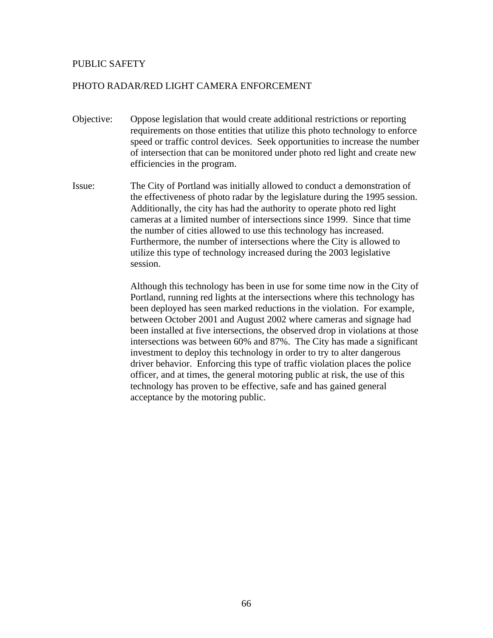# PHOTO RADAR/RED LIGHT CAMERA ENFORCEMENT

- Objective: Oppose legislation that would create additional restrictions or reporting requirements on those entities that utilize this photo technology to enforce speed or traffic control devices. Seek opportunities to increase the number of intersection that can be monitored under photo red light and create new efficiencies in the program.
- Issue: The City of Portland was initially allowed to conduct a demonstration of the effectiveness of photo radar by the legislature during the 1995 session. Additionally, the city has had the authority to operate photo red light cameras at a limited number of intersections since 1999. Since that time the number of cities allowed to use this technology has increased. Furthermore, the number of intersections where the City is allowed to utilize this type of technology increased during the 2003 legislative session.

Although this technology has been in use for some time now in the City of Portland, running red lights at the intersections where this technology has been deployed has seen marked reductions in the violation. For example, between October 2001 and August 2002 where cameras and signage had been installed at five intersections, the observed drop in violations at those intersections was between 60% and 87%. The City has made a significant investment to deploy this technology in order to try to alter dangerous driver behavior. Enforcing this type of traffic violation places the police officer, and at times, the general motoring public at risk, the use of this technology has proven to be effective, safe and has gained general acceptance by the motoring public.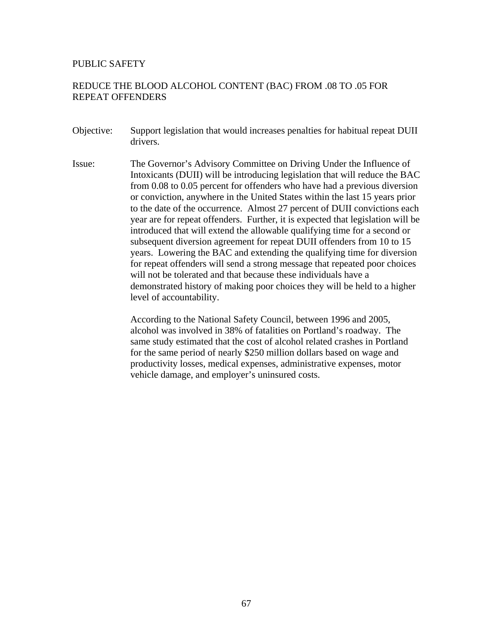# REDUCE THE BLOOD ALCOHOL CONTENT (BAC) FROM .08 TO .05 FOR REPEAT OFFENDERS

- Objective: Support legislation that would increases penalties for habitual repeat DUII drivers.
- Issue: The Governor's Advisory Committee on Driving Under the Influence of Intoxicants (DUII) will be introducing legislation that will reduce the BAC from 0.08 to 0.05 percent for offenders who have had a previous diversion or conviction, anywhere in the United States within the last 15 years prior to the date of the occurrence. Almost 27 percent of DUII convictions each year are for repeat offenders. Further, it is expected that legislation will be introduced that will extend the allowable qualifying time for a second or subsequent diversion agreement for repeat DUII offenders from 10 to 15 years. Lowering the BAC and extending the qualifying time for diversion for repeat offenders will send a strong message that repeated poor choices will not be tolerated and that because these individuals have a demonstrated history of making poor choices they will be held to a higher level of accountability.

According to the National Safety Council, between 1996 and 2005, alcohol was involved in 38% of fatalities on Portland's roadway. The same study estimated that the cost of alcohol related crashes in Portland for the same period of nearly \$250 million dollars based on wage and productivity losses, medical expenses, administrative expenses, motor vehicle damage, and employer's uninsured costs.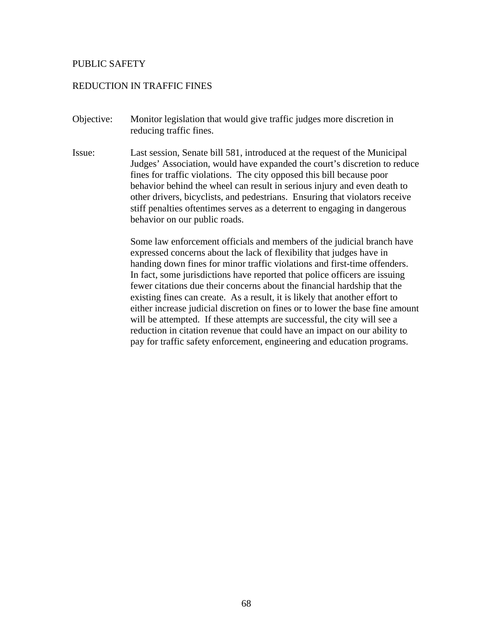## REDUCTION IN TRAFFIC FINES

- Objective: Monitor legislation that would give traffic judges more discretion in reducing traffic fines.
- Issue: Last session, Senate bill 581, introduced at the request of the Municipal Judges' Association, would have expanded the court's discretion to reduce fines for traffic violations. The city opposed this bill because poor behavior behind the wheel can result in serious injury and even death to other drivers, bicyclists, and pedestrians. Ensuring that violators receive stiff penalties oftentimes serves as a deterrent to engaging in dangerous behavior on our public roads.

Some law enforcement officials and members of the judicial branch have expressed concerns about the lack of flexibility that judges have in handing down fines for minor traffic violations and first-time offenders. In fact, some jurisdictions have reported that police officers are issuing fewer citations due their concerns about the financial hardship that the existing fines can create. As a result, it is likely that another effort to either increase judicial discretion on fines or to lower the base fine amount will be attempted. If these attempts are successful, the city will see a reduction in citation revenue that could have an impact on our ability to pay for traffic safety enforcement, engineering and education programs.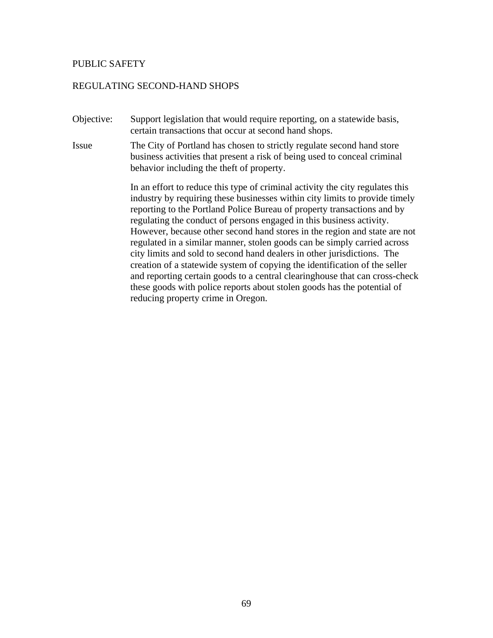#### REGULATING SECOND-HAND SHOPS

Objective: Support legislation that would require reporting, on a statewide basis, certain transactions that occur at second hand shops.

Issue The City of Portland has chosen to strictly regulate second hand store business activities that present a risk of being used to conceal criminal behavior including the theft of property.

> In an effort to reduce this type of criminal activity the city regulates this industry by requiring these businesses within city limits to provide timely reporting to the Portland Police Bureau of property transactions and by regulating the conduct of persons engaged in this business activity. However, because other second hand stores in the region and state are not regulated in a similar manner, stolen goods can be simply carried across city limits and sold to second hand dealers in other jurisdictions. The creation of a statewide system of copying the identification of the seller and reporting certain goods to a central clearinghouse that can cross-check these goods with police reports about stolen goods has the potential of reducing property crime in Oregon.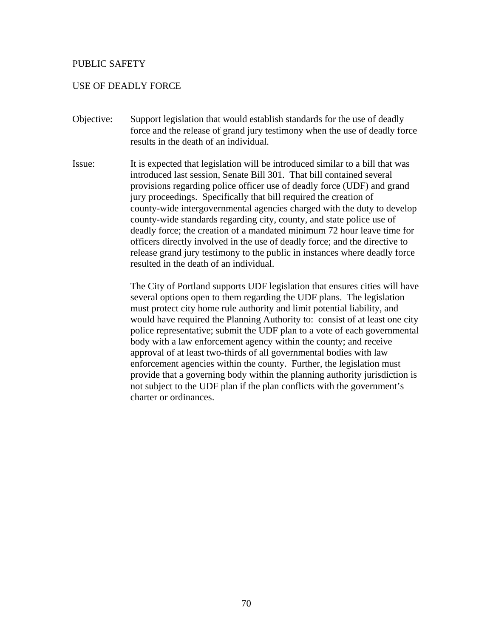## USE OF DEADLY FORCE

- Objective: Support legislation that would establish standards for the use of deadly force and the release of grand jury testimony when the use of deadly force results in the death of an individual.
- Issue: It is expected that legislation will be introduced similar to a bill that was introduced last session, Senate Bill 301. That bill contained several provisions regarding police officer use of deadly force (UDF) and grand jury proceedings. Specifically that bill required the creation of county-wide intergovernmental agencies charged with the duty to develop county-wide standards regarding city, county, and state police use of deadly force; the creation of a mandated minimum 72 hour leave time for officers directly involved in the use of deadly force; and the directive to release grand jury testimony to the public in instances where deadly force resulted in the death of an individual.

The City of Portland supports UDF legislation that ensures cities will have several options open to them regarding the UDF plans. The legislation must protect city home rule authority and limit potential liability, and would have required the Planning Authority to: consist of at least one city police representative; submit the UDF plan to a vote of each governmental body with a law enforcement agency within the county; and receive approval of at least two-thirds of all governmental bodies with law enforcement agencies within the county. Further, the legislation must provide that a governing body within the planning authority jurisdiction is not subject to the UDF plan if the plan conflicts with the government's charter or ordinances.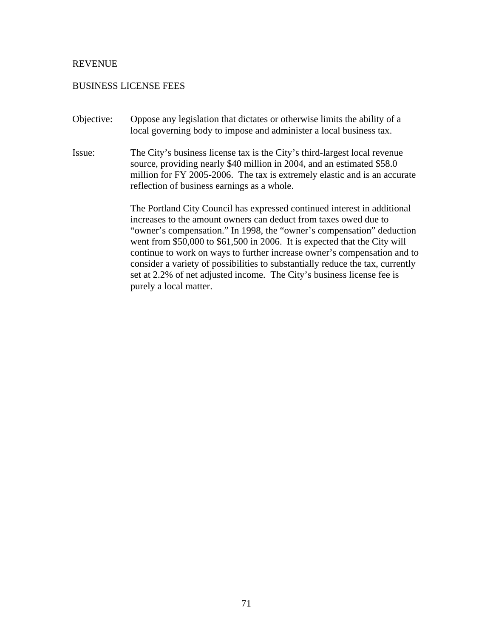### BUSINESS LICENSE FEES

- Objective: Oppose any legislation that dictates or otherwise limits the ability of a local governing body to impose and administer a local business tax.
- Issue: The City's business license tax is the City's third-largest local revenue source, providing nearly \$40 million in 2004, and an estimated \$58.0 million for FY 2005-2006. The tax is extremely elastic and is an accurate reflection of business earnings as a whole.

The Portland City Council has expressed continued interest in additional increases to the amount owners can deduct from taxes owed due to "owner's compensation." In 1998, the "owner's compensation" deduction went from \$50,000 to \$61,500 in 2006. It is expected that the City will continue to work on ways to further increase owner's compensation and to consider a variety of possibilities to substantially reduce the tax, currently set at 2.2% of net adjusted income. The City's business license fee is purely a local matter.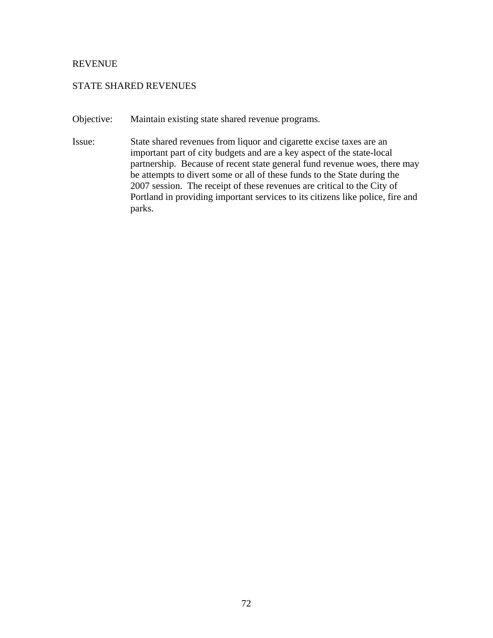## STATE SHARED REVENUES

- Objective: Maintain existing state shared revenue programs.
- Issue: State shared revenues from liquor and cigarette excise taxes are an important part of city budgets and are a key aspect of the state-local partnership. Because of recent state general fund revenue woes, there may be attempts to divert some or all of these funds to the State during the 2007 session. The receipt of these revenues are critical to the City of Portland in providing important services to its citizens like police, fire and parks.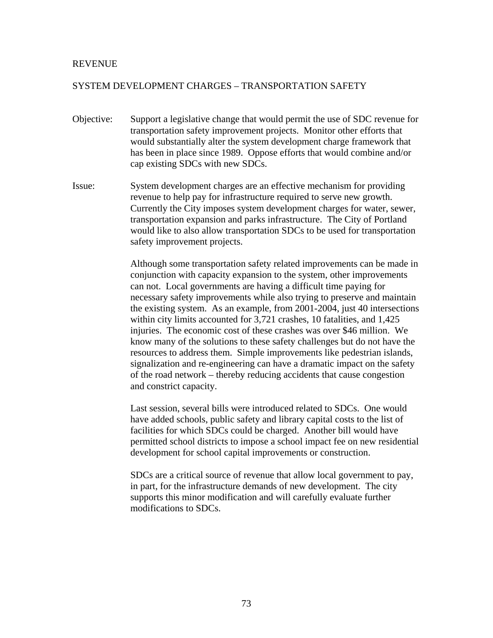## SYSTEM DEVELOPMENT CHARGES – TRANSPORTATION SAFETY

- Objective: Support a legislative change that would permit the use of SDC revenue for transportation safety improvement projects. Monitor other efforts that would substantially alter the system development charge framework that has been in place since 1989. Oppose efforts that would combine and/or cap existing SDCs with new SDCs.
- Issue: System development charges are an effective mechanism for providing revenue to help pay for infrastructure required to serve new growth. Currently the City imposes system development charges for water, sewer, transportation expansion and parks infrastructure. The City of Portland would like to also allow transportation SDCs to be used for transportation safety improvement projects.

 Although some transportation safety related improvements can be made in conjunction with capacity expansion to the system, other improvements can not. Local governments are having a difficult time paying for necessary safety improvements while also trying to preserve and maintain the existing system. As an example, from 2001-2004, just 40 intersections within city limits accounted for 3,721 crashes, 10 fatalities, and 1,425 injuries. The economic cost of these crashes was over \$46 million. We know many of the solutions to these safety challenges but do not have the resources to address them. Simple improvements like pedestrian islands, signalization and re-engineering can have a dramatic impact on the safety of the road network – thereby reducing accidents that cause congestion and constrict capacity.

Last session, several bills were introduced related to SDCs. One would have added schools, public safety and library capital costs to the list of facilities for which SDCs could be charged. Another bill would have permitted school districts to impose a school impact fee on new residential development for school capital improvements or construction.

SDCs are a critical source of revenue that allow local government to pay, in part, for the infrastructure demands of new development. The city supports this minor modification and will carefully evaluate further modifications to SDCs.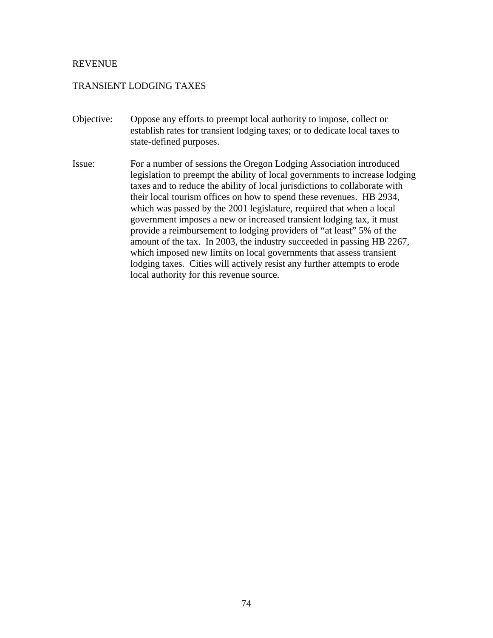# TRANSIENT LODGING TAXES

- Objective: Oppose any efforts to preempt local authority to impose, collect or establish rates for transient lodging taxes; or to dedicate local taxes to state-defined purposes.
- Issue: For a number of sessions the Oregon Lodging Association introduced legislation to preempt the ability of local governments to increase lodging taxes and to reduce the ability of local jurisdictions to collaborate with their local tourism offices on how to spend these revenues. HB 2934, which was passed by the 2001 legislature, required that when a local government imposes a new or increased transient lodging tax, it must provide a reimbursement to lodging providers of "at least" 5% of the amount of the tax. In 2003, the industry succeeded in passing HB 2267, which imposed new limits on local governments that assess transient lodging taxes. Cities will actively resist any further attempts to erode local authority for this revenue source.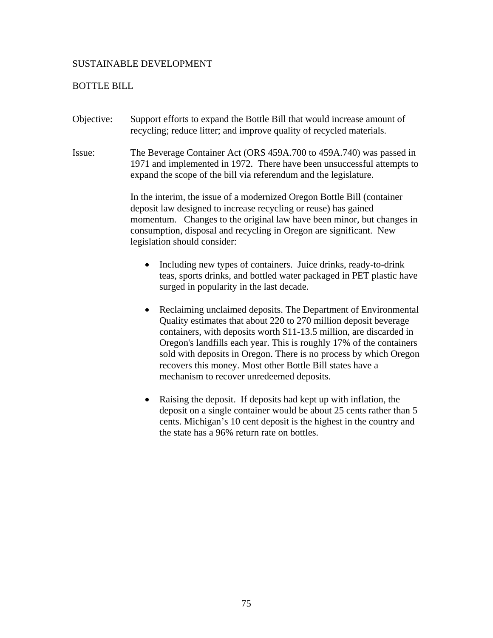## SUSTAINABLE DEVELOPMENT

### BOTTLE BILL

- Objective: Support efforts to expand the Bottle Bill that would increase amount of recycling; reduce litter; and improve quality of recycled materials.
- Issue: The Beverage Container Act (ORS 459A.700 to 459A.740) was passed in 1971 and implemented in 1972. There have been unsuccessful attempts to expand the scope of the bill via referendum and the legislature.

In the interim, the issue of a modernized Oregon Bottle Bill (container deposit law designed to increase recycling or reuse) has gained momentum. Changes to the original law have been minor, but changes in consumption, disposal and recycling in Oregon are significant. New legislation should consider:

- Including new types of containers. Juice drinks, ready-to-drink teas, sports drinks, and bottled water packaged in PET plastic have surged in popularity in the last decade.
- Reclaiming unclaimed deposits. The Department of Environmental Quality estimates that about 220 to 270 million deposit beverage containers, with deposits worth \$11-13.5 million, are discarded in Oregon's landfills each year. This is roughly 17% of the containers sold with deposits in Oregon. There is no process by which Oregon recovers this money. Most other Bottle Bill states have a mechanism to recover unredeemed deposits.
- Raising the deposit. If deposits had kept up with inflation, the deposit on a single container would be about 25 cents rather than 5 cents. Michigan's 10 cent deposit is the highest in the country and the state has a 96% return rate on bottles.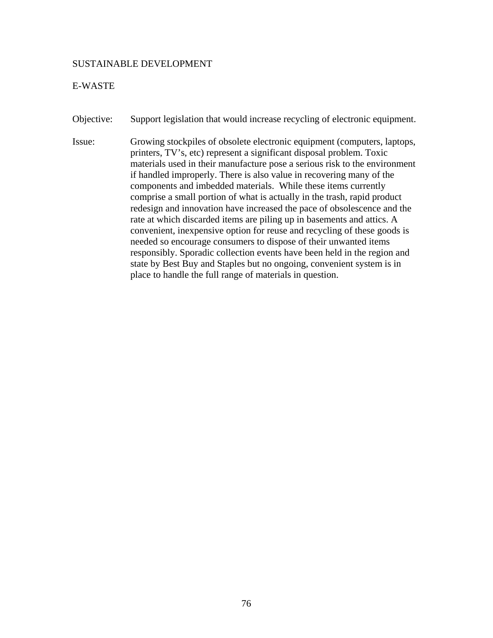#### SUSTAINABLE DEVELOPMENT

### E-WASTE

Objective: Support legislation that would increase recycling of electronic equipment.

Issue: Growing stockpiles of obsolete electronic equipment (computers, laptops, printers, TV's, etc) represent a significant disposal problem. Toxic materials used in their manufacture pose a serious risk to the environment if handled improperly. There is also value in recovering many of the components and imbedded materials. While these items currently comprise a small portion of what is actually in the trash, rapid product redesign and innovation have increased the pace of obsolescence and the rate at which discarded items are piling up in basements and attics. A convenient, inexpensive option for reuse and recycling of these goods is needed so encourage consumers to dispose of their unwanted items responsibly. Sporadic collection events have been held in the region and state by Best Buy and Staples but no ongoing, convenient system is in place to handle the full range of materials in question.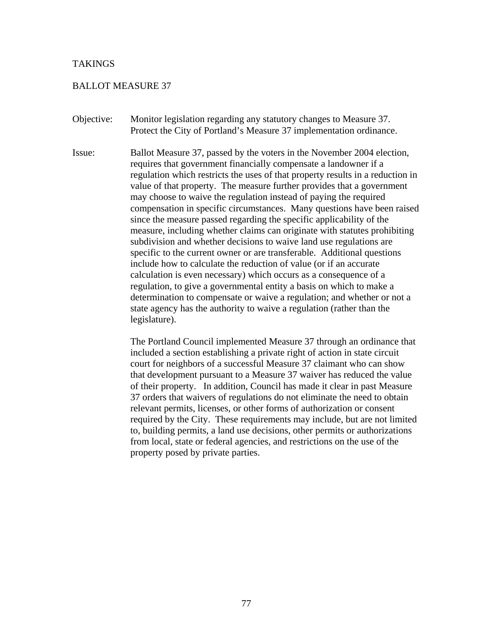#### TAKINGS

#### BALLOT MEASURE 37

- Objective: Monitor legislation regarding any statutory changes to Measure 37. Protect the City of Portland's Measure 37 implementation ordinance.
- Issue: Ballot Measure 37, passed by the voters in the November 2004 election, requires that government financially compensate a landowner if a regulation which restricts the uses of that property results in a reduction in value of that property. The measure further provides that a government may choose to waive the regulation instead of paying the required compensation in specific circumstances. Many questions have been raised since the measure passed regarding the specific applicability of the measure, including whether claims can originate with statutes prohibiting subdivision and whether decisions to waive land use regulations are specific to the current owner or are transferable. Additional questions include how to calculate the reduction of value (or if an accurate calculation is even necessary) which occurs as a consequence of a regulation, to give a governmental entity a basis on which to make a determination to compensate or waive a regulation; and whether or not a state agency has the authority to waive a regulation (rather than the legislature).

The Portland Council implemented Measure 37 through an ordinance that included a section establishing a private right of action in state circuit court for neighbors of a successful Measure 37 claimant who can show that development pursuant to a Measure 37 waiver has reduced the value of their property. In addition, Council has made it clear in past Measure 37 orders that waivers of regulations do not eliminate the need to obtain relevant permits, licenses, or other forms of authorization or consent required by the City. These requirements may include, but are not limited to, building permits, a land use decisions, other permits or authorizations from local, state or federal agencies, and restrictions on the use of the property posed by private parties.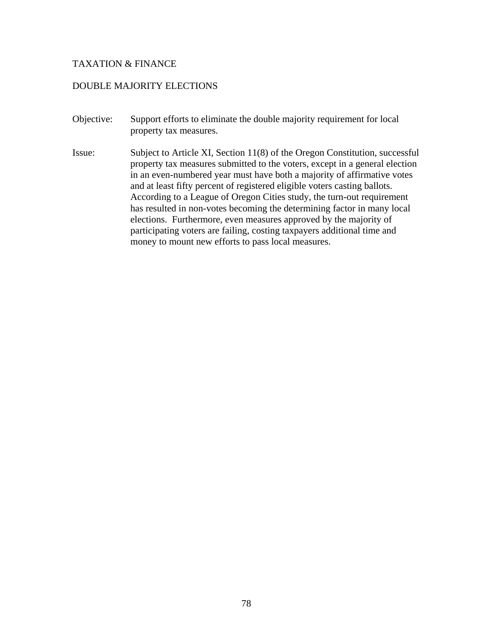## DOUBLE MAJORITY ELECTIONS

- Objective: Support efforts to eliminate the double majority requirement for local property tax measures.
- Issue: Subject to Article XI, Section 11(8) of the Oregon Constitution, successful property tax measures submitted to the voters, except in a general election in an even-numbered year must have both a majority of affirmative votes and at least fifty percent of registered eligible voters casting ballots. According to a League of Oregon Cities study, the turn-out requirement has resulted in non-votes becoming the determining factor in many local elections. Furthermore, even measures approved by the majority of participating voters are failing, costing taxpayers additional time and money to mount new efforts to pass local measures.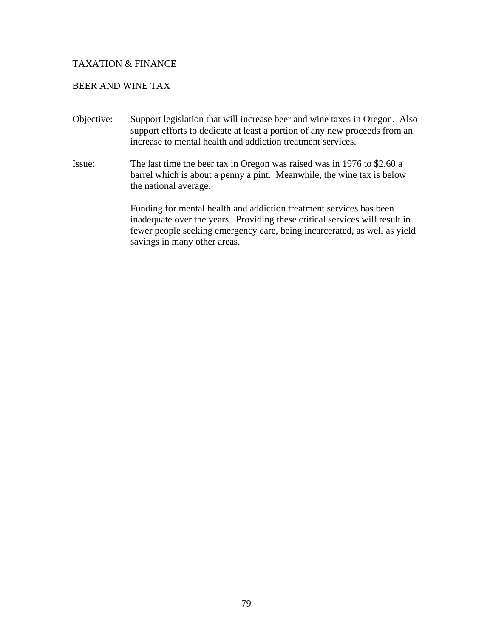## BEER AND WINE TAX

- Objective: Support legislation that will increase beer and wine taxes in Oregon. Also support efforts to dedicate at least a portion of any new proceeds from an increase to mental health and addiction treatment services.
- Issue: The last time the beer tax in Oregon was raised was in 1976 to \$2.60 a barrel which is about a penny a pint. Meanwhile, the wine tax is below the national average.

 Funding for mental health and addiction treatment services has been inadequate over the years. Providing these critical services will result in fewer people seeking emergency care, being incarcerated, as well as yield savings in many other areas.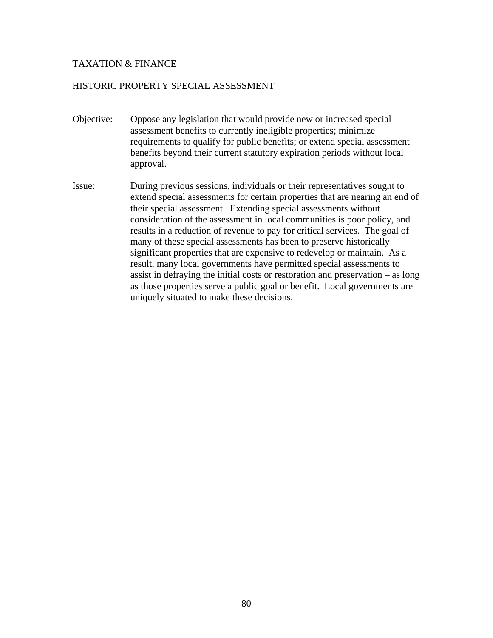### HISTORIC PROPERTY SPECIAL ASSESSMENT

- Objective: Oppose any legislation that would provide new or increased special assessment benefits to currently ineligible properties; minimize requirements to qualify for public benefits; or extend special assessment benefits beyond their current statutory expiration periods without local approval.
- Issue: During previous sessions, individuals or their representatives sought to extend special assessments for certain properties that are nearing an end of their special assessment. Extending special assessments without consideration of the assessment in local communities is poor policy, and results in a reduction of revenue to pay for critical services. The goal of many of these special assessments has been to preserve historically significant properties that are expensive to redevelop or maintain. As a result, many local governments have permitted special assessments to assist in defraying the initial costs or restoration and preservation – as long as those properties serve a public goal or benefit. Local governments are uniquely situated to make these decisions.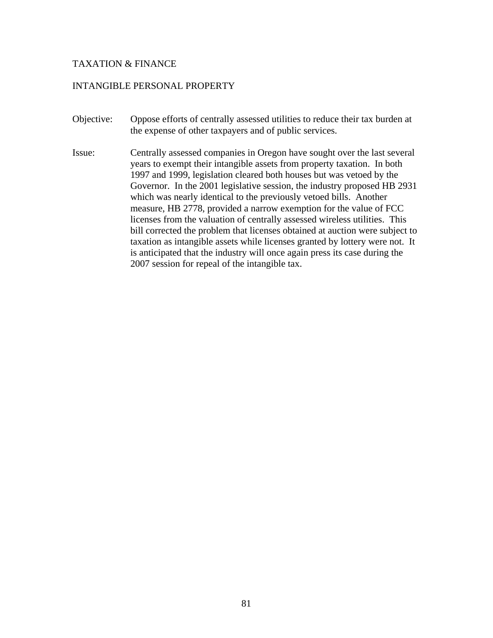## INTANGIBLE PERSONAL PROPERTY

- Objective: Oppose efforts of centrally assessed utilities to reduce their tax burden at the expense of other taxpayers and of public services.
- Issue: Centrally assessed companies in Oregon have sought over the last several years to exempt their intangible assets from property taxation. In both 1997 and 1999, legislation cleared both houses but was vetoed by the Governor. In the 2001 legislative session, the industry proposed HB 2931 which was nearly identical to the previously vetoed bills. Another measure, HB 2778, provided a narrow exemption for the value of FCC licenses from the valuation of centrally assessed wireless utilities. This bill corrected the problem that licenses obtained at auction were subject to taxation as intangible assets while licenses granted by lottery were not. It is anticipated that the industry will once again press its case during the 2007 session for repeal of the intangible tax.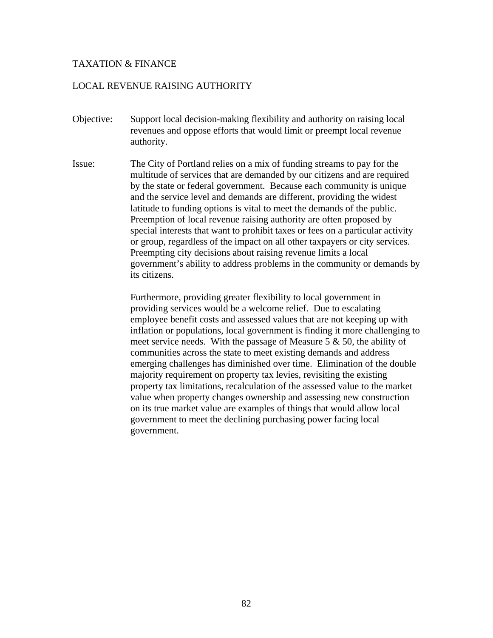## LOCAL REVENUE RAISING AUTHORITY

- Objective: Support local decision-making flexibility and authority on raising local revenues and oppose efforts that would limit or preempt local revenue authority.
- Issue: The City of Portland relies on a mix of funding streams to pay for the multitude of services that are demanded by our citizens and are required by the state or federal government. Because each community is unique and the service level and demands are different, providing the widest latitude to funding options is vital to meet the demands of the public. Preemption of local revenue raising authority are often proposed by special interests that want to prohibit taxes or fees on a particular activity or group, regardless of the impact on all other taxpayers or city services. Preempting city decisions about raising revenue limits a local government's ability to address problems in the community or demands by its citizens.

Furthermore, providing greater flexibility to local government in providing services would be a welcome relief. Due to escalating employee benefit costs and assessed values that are not keeping up with inflation or populations, local government is finding it more challenging to meet service needs. With the passage of Measure 5 & 50, the ability of communities across the state to meet existing demands and address emerging challenges has diminished over time. Elimination of the double majority requirement on property tax levies, revisiting the existing property tax limitations, recalculation of the assessed value to the market value when property changes ownership and assessing new construction on its true market value are examples of things that would allow local government to meet the declining purchasing power facing local government.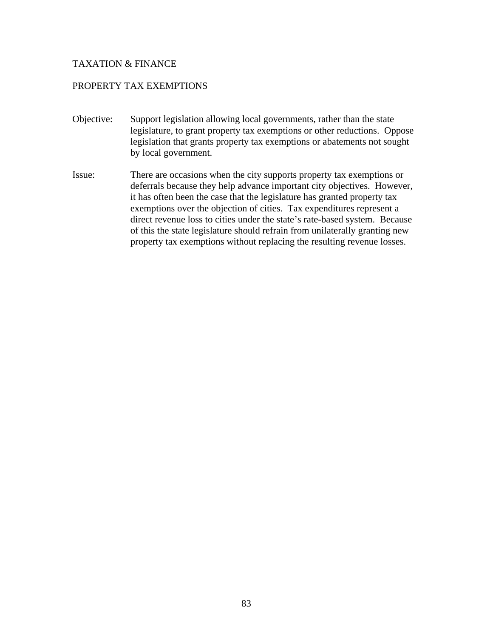# PROPERTY TAX EXEMPTIONS

- Objective: Support legislation allowing local governments, rather than the state legislature, to grant property tax exemptions or other reductions. Oppose legislation that grants property tax exemptions or abatements not sought by local government.
- Issue: There are occasions when the city supports property tax exemptions or deferrals because they help advance important city objectives. However, it has often been the case that the legislature has granted property tax exemptions over the objection of cities. Tax expenditures represent a direct revenue loss to cities under the state's rate-based system. Because of this the state legislature should refrain from unilaterally granting new property tax exemptions without replacing the resulting revenue losses.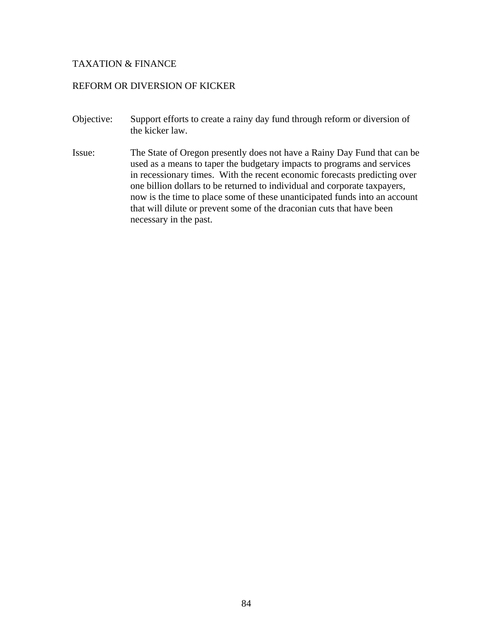### REFORM OR DIVERSION OF KICKER

- Objective: Support efforts to create a rainy day fund through reform or diversion of the kicker law.
- Issue: The State of Oregon presently does not have a Rainy Day Fund that can be used as a means to taper the budgetary impacts to programs and services in recessionary times. With the recent economic forecasts predicting over one billion dollars to be returned to individual and corporate taxpayers, now is the time to place some of these unanticipated funds into an account that will dilute or prevent some of the draconian cuts that have been necessary in the past.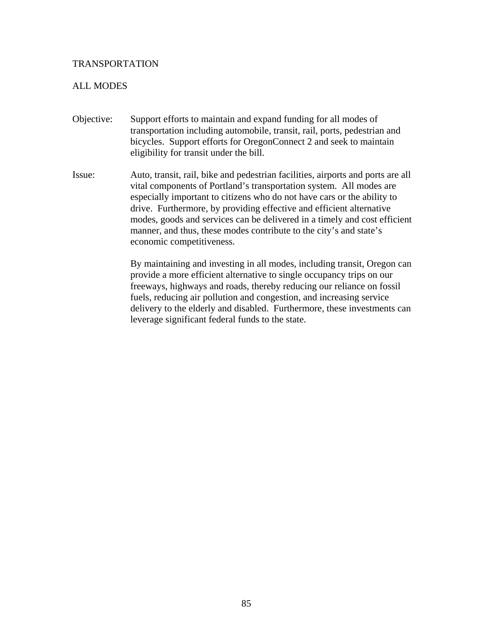### ALL MODES

- Objective: Support efforts to maintain and expand funding for all modes of transportation including automobile, transit, rail, ports, pedestrian and bicycles. Support efforts for OregonConnect 2 and seek to maintain eligibility for transit under the bill.
- Issue: Auto, transit, rail, bike and pedestrian facilities, airports and ports are all vital components of Portland's transportation system. All modes are especially important to citizens who do not have cars or the ability to drive. Furthermore, by providing effective and efficient alternative modes, goods and services can be delivered in a timely and cost efficient manner, and thus, these modes contribute to the city's and state's economic competitiveness.

By maintaining and investing in all modes, including transit, Oregon can provide a more efficient alternative to single occupancy trips on our freeways, highways and roads, thereby reducing our reliance on fossil fuels, reducing air pollution and congestion, and increasing service delivery to the elderly and disabled. Furthermore, these investments can leverage significant federal funds to the state.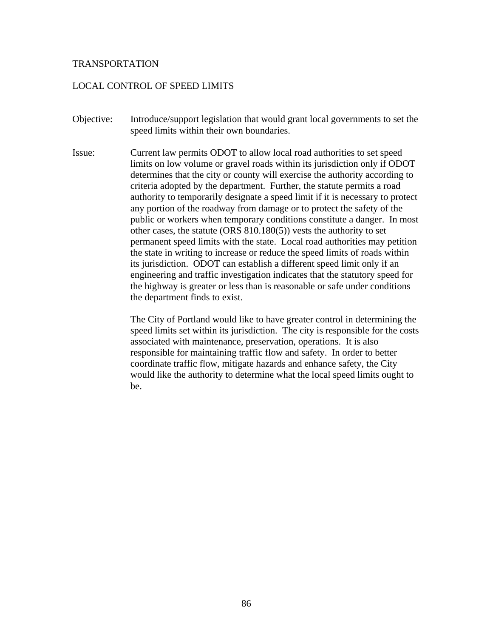### LOCAL CONTROL OF SPEED LIMITS

- Objective: Introduce/support legislation that would grant local governments to set the speed limits within their own boundaries.
- Issue: Current law permits ODOT to allow local road authorities to set speed limits on low volume or gravel roads within its jurisdiction only if ODOT determines that the city or county will exercise the authority according to criteria adopted by the department. Further, the statute permits a road authority to temporarily designate a speed limit if it is necessary to protect any portion of the roadway from damage or to protect the safety of the public or workers when temporary conditions constitute a danger. In most other cases, the statute (ORS 810.180(5)) vests the authority to set permanent speed limits with the state. Local road authorities may petition the state in writing to increase or reduce the speed limits of roads within its jurisdiction. ODOT can establish a different speed limit only if an engineering and traffic investigation indicates that the statutory speed for the highway is greater or less than is reasonable or safe under conditions the department finds to exist.

The City of Portland would like to have greater control in determining the speed limits set within its jurisdiction. The city is responsible for the costs associated with maintenance, preservation, operations. It is also responsible for maintaining traffic flow and safety. In order to better coordinate traffic flow, mitigate hazards and enhance safety, the City would like the authority to determine what the local speed limits ought to be.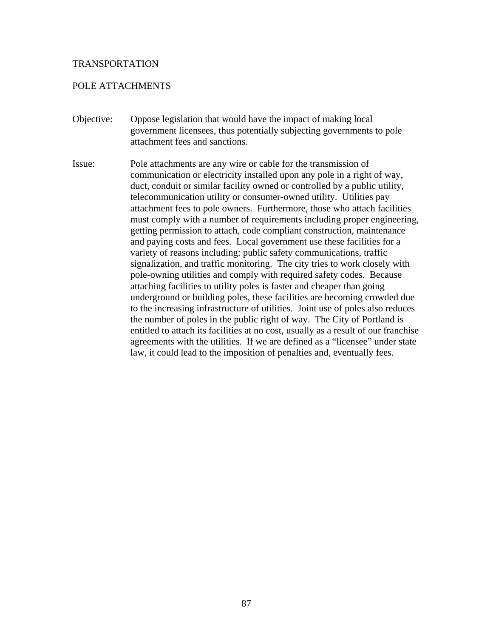### POLE ATTACHMENTS

- Objective: Oppose legislation that would have the impact of making local government licensees, thus potentially subjecting governments to pole attachment fees and sanctions.
- Issue: Pole attachments are any wire or cable for the transmission of communication or electricity installed upon any pole in a right of way, duct, conduit or similar facility owned or controlled by a public utility, telecommunication utility or consumer-owned utility. Utilities pay attachment fees to pole owners. Furthermore, those who attach facilities must comply with a number of requirements including proper engineering, getting permission to attach, code compliant construction, maintenance and paying costs and fees. Local government use these facilities for a variety of reasons including: public safety communications, traffic signalization, and traffic monitoring. The city tries to work closely with pole-owning utilities and comply with required safety codes. Because attaching facilities to utility poles is faster and cheaper than going underground or building poles, these facilities are becoming crowded due to the increasing infrastructure of utilities. Joint use of poles also reduces the number of poles in the public right of way. The City of Portland is entitled to attach its facilities at no cost, usually as a result of our franchise agreements with the utilities. If we are defined as a "licensee" under state law, it could lead to the imposition of penalties and, eventually fees.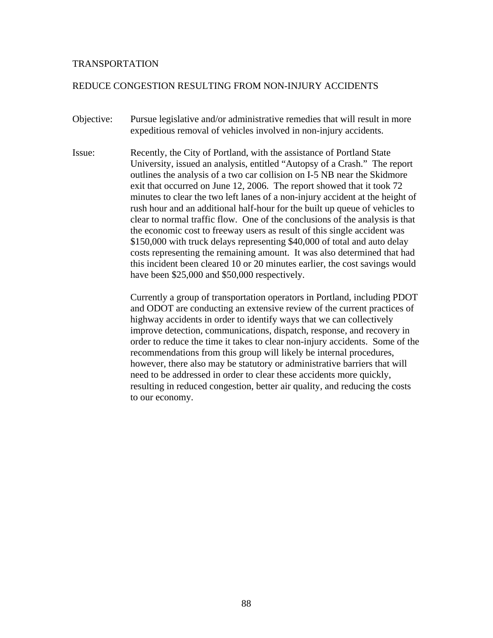## REDUCE CONGESTION RESULTING FROM NON-INJURY ACCIDENTS

- Objective: Pursue legislative and/or administrative remedies that will result in more expeditious removal of vehicles involved in non-injury accidents.
- Issue: Recently, the City of Portland, with the assistance of Portland State University, issued an analysis, entitled "Autopsy of a Crash." The report outlines the analysis of a two car collision on I-5 NB near the Skidmore exit that occurred on June 12, 2006. The report showed that it took 72 minutes to clear the two left lanes of a non-injury accident at the height of rush hour and an additional half-hour for the built up queue of vehicles to clear to normal traffic flow. One of the conclusions of the analysis is that the economic cost to freeway users as result of this single accident was \$150,000 with truck delays representing \$40,000 of total and auto delay costs representing the remaining amount. It was also determined that had this incident been cleared 10 or 20 minutes earlier, the cost savings would have been \$25,000 and \$50,000 respectively.

Currently a group of transportation operators in Portland, including PDOT and ODOT are conducting an extensive review of the current practices of highway accidents in order to identify ways that we can collectively improve detection, communications, dispatch, response, and recovery in order to reduce the time it takes to clear non-injury accidents. Some of the recommendations from this group will likely be internal procedures, however, there also may be statutory or administrative barriers that will need to be addressed in order to clear these accidents more quickly, resulting in reduced congestion, better air quality, and reducing the costs to our economy.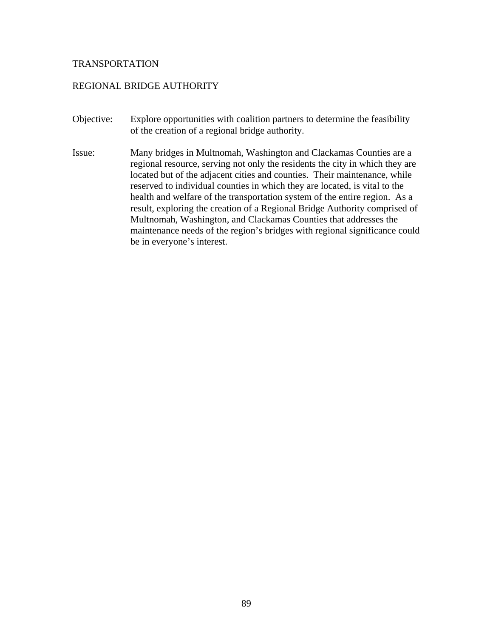### REGIONAL BRIDGE AUTHORITY

- Objective: Explore opportunities with coalition partners to determine the feasibility of the creation of a regional bridge authority.
- Issue: Many bridges in Multnomah, Washington and Clackamas Counties are a regional resource, serving not only the residents the city in which they are located but of the adjacent cities and counties. Their maintenance, while reserved to individual counties in which they are located, is vital to the health and welfare of the transportation system of the entire region. As a result, exploring the creation of a Regional Bridge Authority comprised of Multnomah, Washington, and Clackamas Counties that addresses the maintenance needs of the region's bridges with regional significance could be in everyone's interest.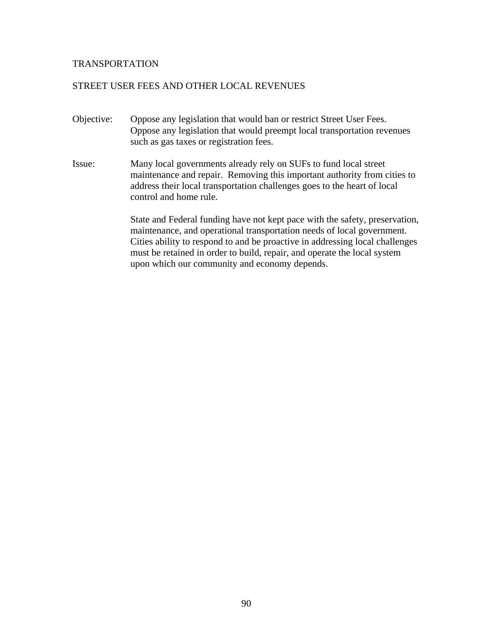## STREET USER FEES AND OTHER LOCAL REVENUES

- Objective: Oppose any legislation that would ban or restrict Street User Fees. Oppose any legislation that would preempt local transportation revenues such as gas taxes or registration fees.
- Issue: Many local governments already rely on SUFs to fund local street maintenance and repair. Removing this important authority from cities to address their local transportation challenges goes to the heart of local control and home rule.

State and Federal funding have not kept pace with the safety, preservation, maintenance, and operational transportation needs of local government. Cities ability to respond to and be proactive in addressing local challenges must be retained in order to build, repair, and operate the local system upon which our community and economy depends.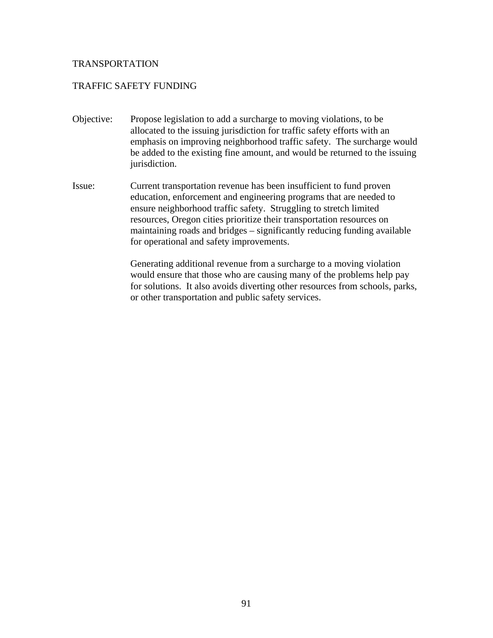# TRAFFIC SAFETY FUNDING

- Objective: Propose legislation to add a surcharge to moving violations, to be allocated to the issuing jurisdiction for traffic safety efforts with an emphasis on improving neighborhood traffic safety. The surcharge would be added to the existing fine amount, and would be returned to the issuing jurisdiction.
- Issue: Current transportation revenue has been insufficient to fund proven education, enforcement and engineering programs that are needed to ensure neighborhood traffic safety. Struggling to stretch limited resources, Oregon cities prioritize their transportation resources on maintaining roads and bridges – significantly reducing funding available for operational and safety improvements.

Generating additional revenue from a surcharge to a moving violation would ensure that those who are causing many of the problems help pay for solutions. It also avoids diverting other resources from schools, parks, or other transportation and public safety services.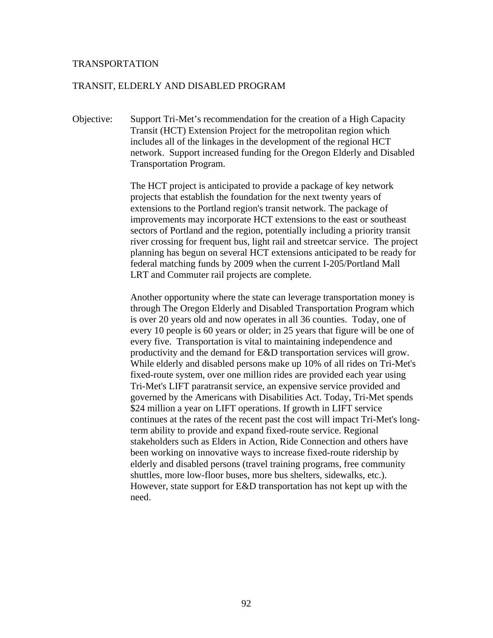#### TRANSIT, ELDERLY AND DISABLED PROGRAM

Objective: Support Tri-Met's recommendation for the creation of a High Capacity Transit (HCT) Extension Project for the metropolitan region which includes all of the linkages in the development of the regional HCT network. Support increased funding for the Oregon Elderly and Disabled Transportation Program.

> The HCT project is anticipated to provide a package of key network projects that establish the foundation for the next twenty years of extensions to the Portland region's transit network. The package of improvements may incorporate HCT extensions to the east or southeast sectors of Portland and the region, potentially including a priority transit river crossing for frequent bus, light rail and streetcar service. The project planning has begun on several HCT extensions anticipated to be ready for federal matching funds by 2009 when the current I-205/Portland Mall LRT and Commuter rail projects are complete.

> Another opportunity where the state can leverage transportation money is through The Oregon Elderly and Disabled Transportation Program which is over 20 years old and now operates in all 36 counties. Today, one of every 10 people is 60 years or older; in 25 years that figure will be one of every five. Transportation is vital to maintaining independence and productivity and the demand for E&D transportation services will grow. While elderly and disabled persons make up 10% of all rides on Tri-Met's fixed-route system, over one million rides are provided each year using Tri-Met's LIFT paratransit service, an expensive service provided and governed by the Americans with Disabilities Act. Today, Tri-Met spends \$24 million a year on LIFT operations. If growth in LIFT service continues at the rates of the recent past the cost will impact Tri-Met's longterm ability to provide and expand fixed-route service. Regional stakeholders such as Elders in Action, Ride Connection and others have been working on innovative ways to increase fixed-route ridership by elderly and disabled persons (travel training programs, free community shuttles, more low-floor buses, more bus shelters, sidewalks, etc.). However, state support for E&D transportation has not kept up with the need.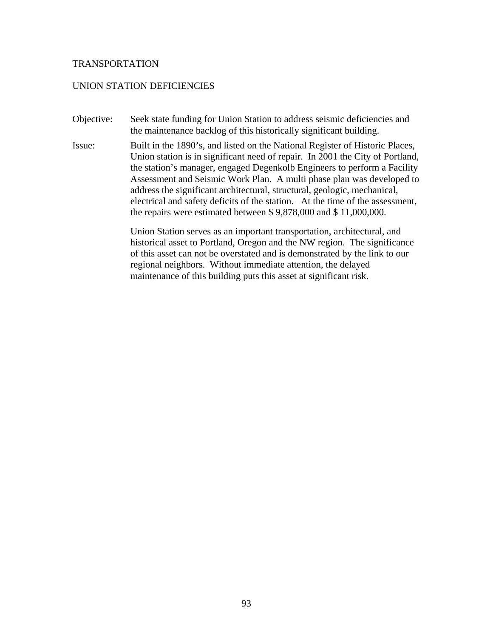### UNION STATION DEFICIENCIES

- Objective: Seek state funding for Union Station to address seismic deficiencies and the maintenance backlog of this historically significant building.
- Issue: Built in the 1890's, and listed on the National Register of Historic Places, Union station is in significant need of repair. In 2001 the City of Portland, the station's manager, engaged Degenkolb Engineers to perform a Facility Assessment and Seismic Work Plan. A multi phase plan was developed to address the significant architectural, structural, geologic, mechanical, electrical and safety deficits of the station. At the time of the assessment, the repairs were estimated between \$ 9,878,000 and \$ 11,000,000.

Union Station serves as an important transportation, architectural, and historical asset to Portland, Oregon and the NW region. The significance of this asset can not be overstated and is demonstrated by the link to our regional neighbors. Without immediate attention, the delayed maintenance of this building puts this asset at significant risk.